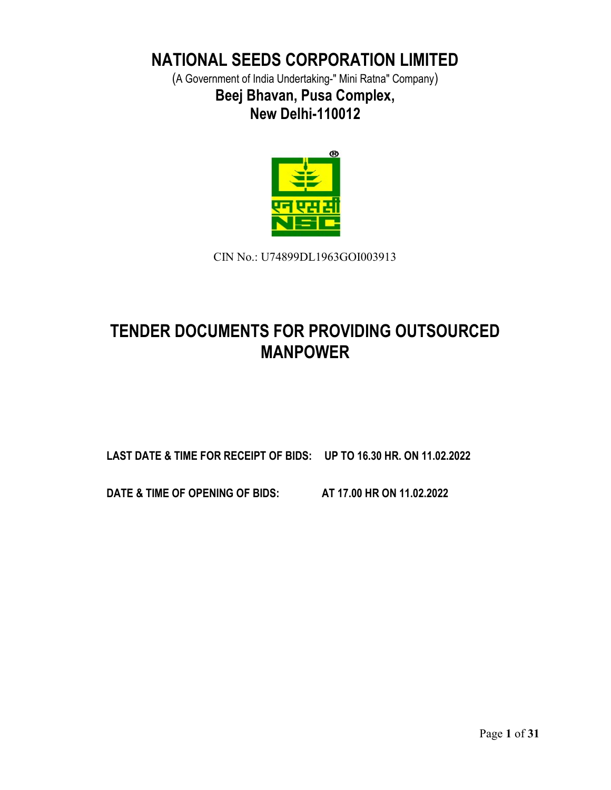# NATIONAL SEEDS CORPORATION LIMITED

(A Government of India Undertaking-" Mini Ratna" Company) Beej Bhavan, Pusa Complex, New Delhi-110012



CIN No.: U74899DL1963GOI003913

# TENDER DOCUMENTS FOR PROVIDING OUTSOURCED MANPOWER

LAST DATE & TIME FOR RECEIPT OF BIDS: UP TO 16.30 HR. ON 11.02.2022

DATE & TIME OF OPENING OF BIDS: AT 17.00 HR ON 11.02.2022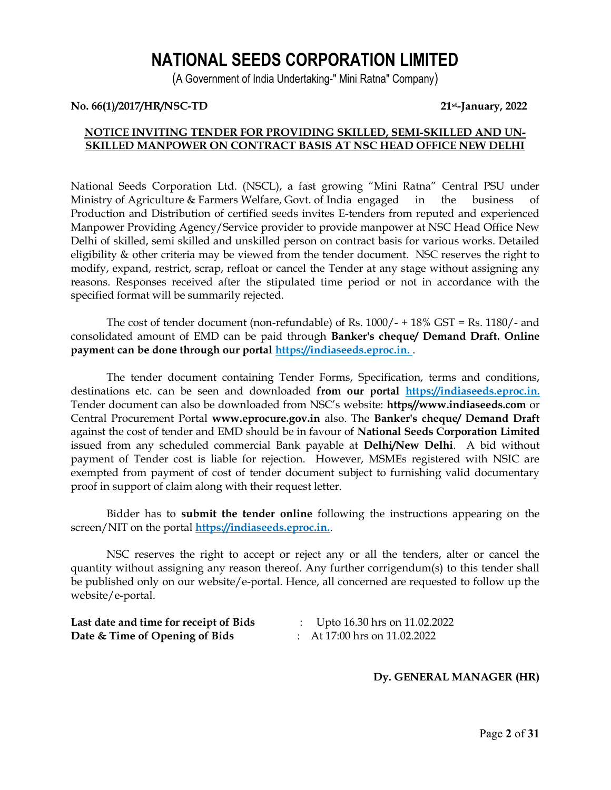# NATIONAL SEEDS CORPORATION LIMITED

(A Government of India Undertaking-" Mini Ratna" Company)

#### No. 66(1)/2017/HR/NSC-TD 21st-January, 2022

# NOTICE INVITING TENDER FOR PROVIDING SKILLED, SEMI-SKILLED AND UN-SKILLED MANPOWER ON CONTRACT BASIS AT NSC HEAD OFFICE NEW DELHI

National Seeds Corporation Ltd. (NSCL), a fast growing "Mini Ratna" Central PSU under Ministry of Agriculture & Farmers Welfare, Govt. of India engaged in the business of Production and Distribution of certified seeds invites E-tenders from reputed and experienced Manpower Providing Agency/Service provider to provide manpower at NSC Head Office New Delhi of skilled, semi skilled and unskilled person on contract basis for various works. Detailed eligibility & other criteria may be viewed from the tender document. NSC reserves the right to modify, expand, restrict, scrap, refloat or cancel the Tender at any stage without assigning any reasons. Responses received after the stipulated time period or not in accordance with the specified format will be summarily rejected.

The cost of tender document (non-refundable) of Rs. 1000/- + 18% GST = Rs. 1180/- and consolidated amount of EMD can be paid through Banker's cheque/ Demand Draft. Online payment can be done through our portal https://indiaseeds.eproc.in.

The tender document containing Tender Forms, Specification, terms and conditions, destinations etc. can be seen and downloaded from our portal https://indiaseeds.eproc.in. Tender document can also be downloaded from NSC's website: https//www.indiaseeds.com or Central Procurement Portal www.eprocure.gov.in also. The Banker's cheque/ Demand Draft against the cost of tender and EMD should be in favour of National Seeds Corporation Limited issued from any scheduled commercial Bank payable at Delhi/New Delhi. A bid without payment of Tender cost is liable for rejection. However, MSMEs registered with NSIC are exempted from payment of cost of tender document subject to furnishing valid documentary proof in support of claim along with their request letter.

Bidder has to submit the tender online following the instructions appearing on the screen/NIT on the portal **https://indiaseeds.eproc.in.**.

NSC reserves the right to accept or reject any or all the tenders, alter or cancel the quantity without assigning any reason thereof. Any further corrigendum(s) to this tender shall be published only on our website/e-portal. Hence, all concerned are requested to follow up the website/e-portal.

| Last date and time for receipt of Bids |
|----------------------------------------|
| Date & Time of Opening of Bids         |

- $\therefore$  Upto 16.30 hrs on 11.02.2022
- $\therefore$  At 17:00 hrs on 11.02.2022

# Dy. GENERAL MANAGER (HR)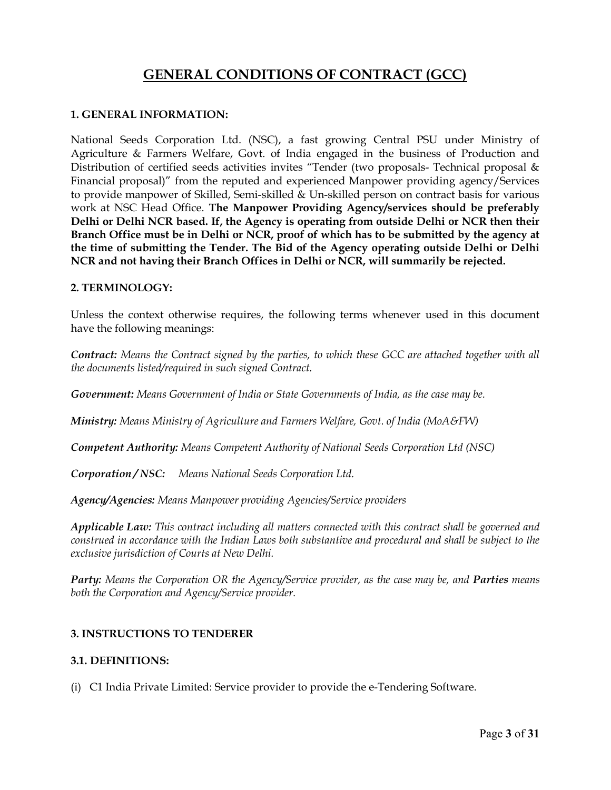# GENERAL CONDITIONS OF CONTRACT (GCC)

## 1. GENERAL INFORMATION:

National Seeds Corporation Ltd. (NSC), a fast growing Central PSU under Ministry of Agriculture & Farmers Welfare, Govt. of India engaged in the business of Production and Distribution of certified seeds activities invites "Tender (two proposals- Technical proposal & Financial proposal)" from the reputed and experienced Manpower providing agency/Services to provide manpower of Skilled, Semi-skilled & Un-skilled person on contract basis for various work at NSC Head Office. The Manpower Providing Agency/services should be preferably Delhi or Delhi NCR based. If, the Agency is operating from outside Delhi or NCR then their Branch Office must be in Delhi or NCR, proof of which has to be submitted by the agency at the time of submitting the Tender. The Bid of the Agency operating outside Delhi or Delhi NCR and not having their Branch Offices in Delhi or NCR, will summarily be rejected.

#### 2. TERMINOLOGY:

Unless the context otherwise requires, the following terms whenever used in this document have the following meanings:

**Contract:** Means the Contract signed by the parties, to which these GCC are attached together with all the documents listed/required in such signed Contract.

Government: Means Government of India or State Governments of India, as the case may be.

Ministry: Means Ministry of Agriculture and Farmers Welfare, Govt. of India (MoA&FW)

Competent Authority: Means Competent Authority of National Seeds Corporation Ltd (NSC)

Corporation / NSC: Means National Seeds Corporation Ltd.

Agency/Agencies: Means Manpower providing Agencies/Service providers

Applicable Law: This contract including all matters connected with this contract shall be governed and construed in accordance with the Indian Laws both substantive and procedural and shall be subject to the exclusive jurisdiction of Courts at New Delhi.

Party: Means the Corporation OR the Agency/Service provider, as the case may be, and Parties means both the Corporation and Agency/Service provider.

# 3. INSTRUCTIONS TO TENDERER

# 3.1. DEFINITIONS:

(i) C1 India Private Limited: Service provider to provide the e-Tendering Software.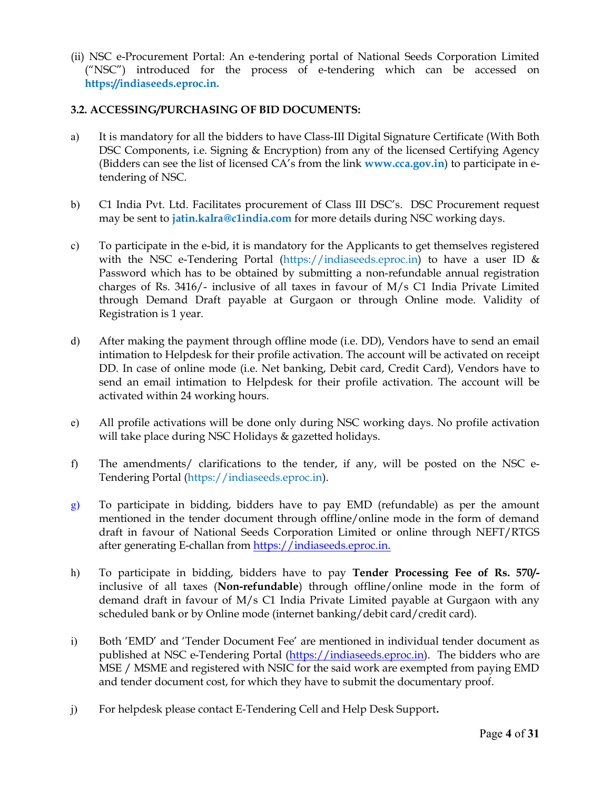(ii) NSC e-Procurement Portal: An e-tendering portal of National Seeds Corporation Limited ("NSC") introduced for the process of e-tendering which can be accessed on https://indiaseeds.eproc.in.

# 3.2. ACCESSING/PURCHASING OF BID DOCUMENTS:

- a) It is mandatory for all the bidders to have Class-III Digital Signature Certificate (With Both DSC Components, i.e. Signing & Encryption) from any of the licensed Certifying Agency (Bidders can see the list of licensed  $CA's$  from the link  $www.cca.gov.in)$  to participate in etendering of NSC.
- b) C1 India Pvt. Ltd. Facilitates procurement of Class III DSC's. DSC Procurement request may be sent to *jatin.kalra@c1india.com* for more details during NSC working days.
- c) To participate in the e-bid, it is mandatory for the Applicants to get themselves registered with the NSC e-Tendering Portal (https://indiaseeds.eproc.in) to have a user ID & Password which has to be obtained by submitting a non-refundable annual registration charges of Rs. 3416/- inclusive of all taxes in favour of M/s C1 India Private Limited through Demand Draft payable at Gurgaon or through Online mode. Validity of Registration is 1 year.
- d) After making the payment through offline mode (i.e. DD), Vendors have to send an email intimation to Helpdesk for their profile activation. The account will be activated on receipt DD. In case of online mode (i.e. Net banking, Debit card, Credit Card), Vendors have to send an email intimation to Helpdesk for their profile activation. The account will be activated within 24 working hours.
- e) All profile activations will be done only during NSC working days. No profile activation will take place during NSC Holidays & gazetted holidays.
- f) The amendments/ clarifications to the tender, if any, will be posted on the NSC e-Tendering Portal (https://indiaseeds.eproc.in).
- g) To participate in bidding, bidders have to pay EMD (refundable) as per the amount mentioned in the tender document through offline/online mode in the form of demand draft in favour of National Seeds Corporation Limited or online through NEFT/RTGS after generating E-challan from https://indiaseeds.eproc.in.
- h) To participate in bidding, bidders have to pay Tender Processing Fee of Rs. 570/ inclusive of all taxes (Non-refundable) through offline/online mode in the form of demand draft in favour of M/s C1 India Private Limited payable at Gurgaon with any scheduled bank or by Online mode (internet banking/debit card/credit card).
- i) Both 'EMD' and 'Tender Document Fee' are mentioned in individual tender document as published at NSC e-Tendering Portal (https://indiaseeds.eproc.in). The bidders who are MSE / MSME and registered with NSIC for the said work are exempted from paying EMD and tender document cost, for which they have to submit the documentary proof.
- j) For helpdesk please contact E-Tendering Cell and Help Desk Support.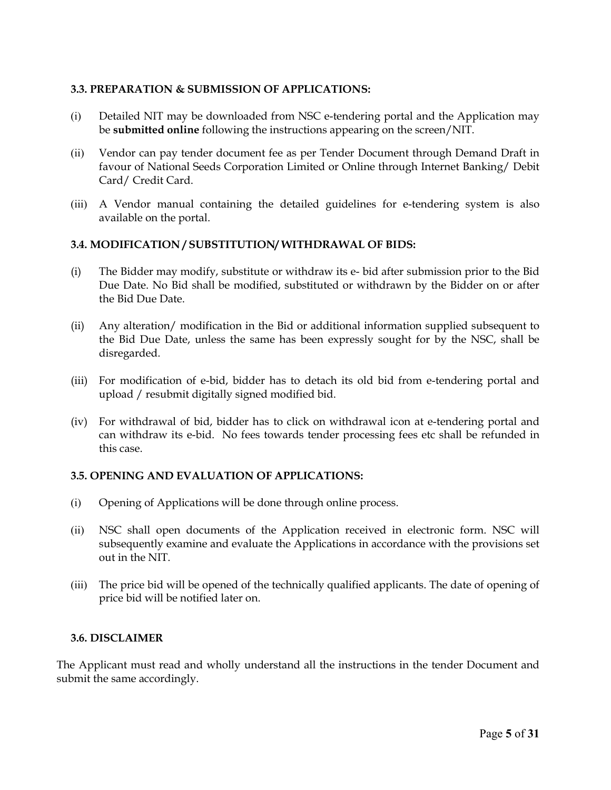#### 3.3. PREPARATION & SUBMISSION OF APPLICATIONS:

- (i) Detailed NIT may be downloaded from NSC e-tendering portal and the Application may be submitted online following the instructions appearing on the screen/NIT.
- (ii) Vendor can pay tender document fee as per Tender Document through Demand Draft in favour of National Seeds Corporation Limited or Online through Internet Banking/ Debit Card/ Credit Card.
- (iii) A Vendor manual containing the detailed guidelines for e-tendering system is also available on the portal.

#### 3.4. MODIFICATION / SUBSTITUTION/ WITHDRAWAL OF BIDS:

- (i) The Bidder may modify, substitute or withdraw its e- bid after submission prior to the Bid Due Date. No Bid shall be modified, substituted or withdrawn by the Bidder on or after the Bid Due Date.
- (ii) Any alteration/ modification in the Bid or additional information supplied subsequent to the Bid Due Date, unless the same has been expressly sought for by the NSC, shall be disregarded.
- (iii) For modification of e-bid, bidder has to detach its old bid from e-tendering portal and upload / resubmit digitally signed modified bid.
- (iv) For withdrawal of bid, bidder has to click on withdrawal icon at e-tendering portal and can withdraw its e-bid. No fees towards tender processing fees etc shall be refunded in this case.

#### 3.5. OPENING AND EVALUATION OF APPLICATIONS:

- (i) Opening of Applications will be done through online process.
- (ii) NSC shall open documents of the Application received in electronic form. NSC will subsequently examine and evaluate the Applications in accordance with the provisions set out in the NIT.
- (iii) The price bid will be opened of the technically qualified applicants. The date of opening of price bid will be notified later on.

#### 3.6. DISCLAIMER

The Applicant must read and wholly understand all the instructions in the tender Document and submit the same accordingly.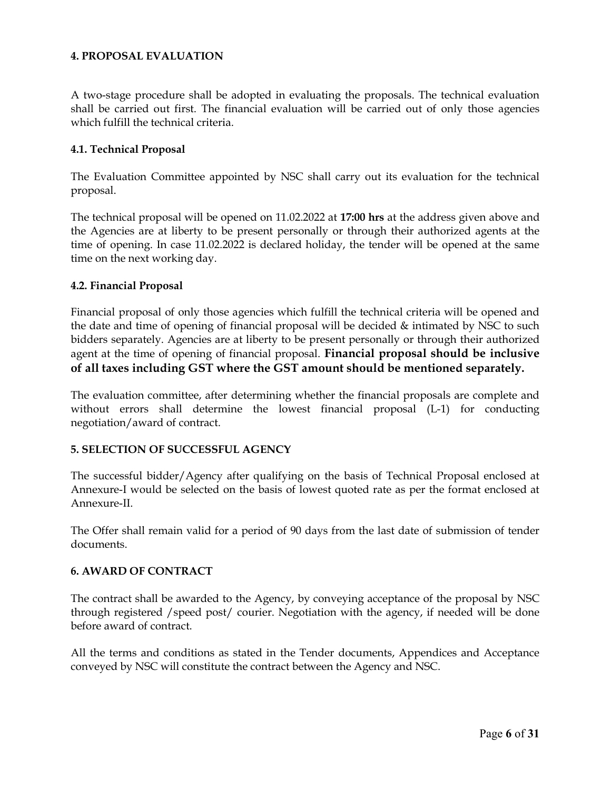#### 4. PROPOSAL EVALUATION

A two-stage procedure shall be adopted in evaluating the proposals. The technical evaluation shall be carried out first. The financial evaluation will be carried out of only those agencies which fulfill the technical criteria.

#### 4.1. Technical Proposal

The Evaluation Committee appointed by NSC shall carry out its evaluation for the technical proposal.

The technical proposal will be opened on 11.02.2022 at 17:00 hrs at the address given above and the Agencies are at liberty to be present personally or through their authorized agents at the time of opening. In case 11.02.2022 is declared holiday, the tender will be opened at the same time on the next working day.

#### 4.2. Financial Proposal

Financial proposal of only those agencies which fulfill the technical criteria will be opened and the date and time of opening of financial proposal will be decided & intimated by NSC to such bidders separately. Agencies are at liberty to be present personally or through their authorized agent at the time of opening of financial proposal. **Financial proposal should be inclusive** of all taxes including GST where the GST amount should be mentioned separately.

The evaluation committee, after determining whether the financial proposals are complete and without errors shall determine the lowest financial proposal (L-1) for conducting negotiation/award of contract.

# 5. SELECTION OF SUCCESSFUL AGENCY

The successful bidder/Agency after qualifying on the basis of Technical Proposal enclosed at Annexure-I would be selected on the basis of lowest quoted rate as per the format enclosed at Annexure-II.

The Offer shall remain valid for a period of 90 days from the last date of submission of tender documents.

#### 6. AWARD OF CONTRACT

The contract shall be awarded to the Agency, by conveying acceptance of the proposal by NSC through registered /speed post/ courier. Negotiation with the agency, if needed will be done before award of contract.

All the terms and conditions as stated in the Tender documents, Appendices and Acceptance conveyed by NSC will constitute the contract between the Agency and NSC.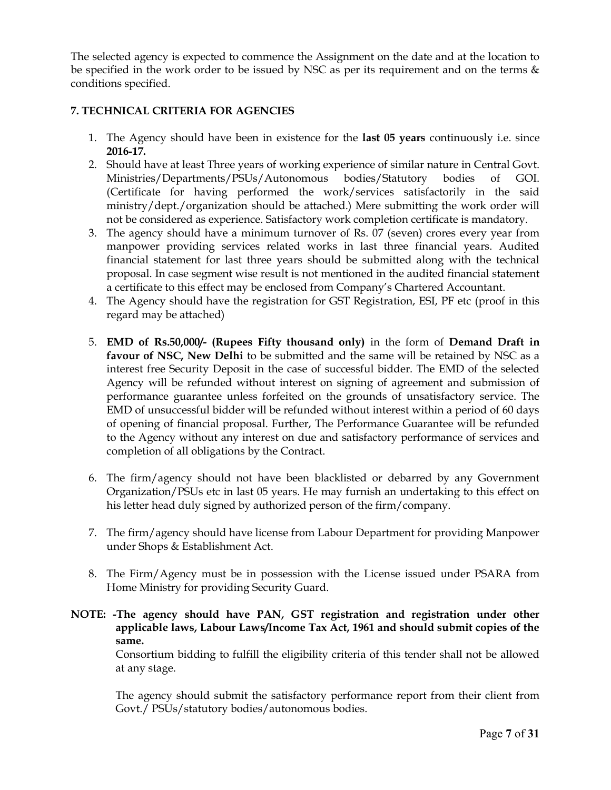The selected agency is expected to commence the Assignment on the date and at the location to be specified in the work order to be issued by NSC as per its requirement and on the terms  $\&$ conditions specified.

# 7. TECHNICAL CRITERIA FOR AGENCIES

- 1. The Agency should have been in existence for the last 05 years continuously i.e. since 2016-17.
- 2. Should have at least Three years of working experience of similar nature in Central Govt. Ministries/Departments/PSUs/Autonomous bodies/Statutory bodies of GOI. (Certificate for having performed the work/services satisfactorily in the said ministry/dept./organization should be attached.) Mere submitting the work order will not be considered as experience. Satisfactory work completion certificate is mandatory.
- 3. The agency should have a minimum turnover of Rs. 07 (seven) crores every year from manpower providing services related works in last three financial years. Audited financial statement for last three years should be submitted along with the technical proposal. In case segment wise result is not mentioned in the audited financial statement a certificate to this effect may be enclosed from Company's Chartered Accountant.
- 4. The Agency should have the registration for GST Registration, ESI, PF etc (proof in this regard may be attached)
- 5. EMD of Rs.50,000/- (Rupees Fifty thousand only) in the form of Demand Draft in favour of NSC, New Delhi to be submitted and the same will be retained by NSC as a interest free Security Deposit in the case of successful bidder. The EMD of the selected Agency will be refunded without interest on signing of agreement and submission of performance guarantee unless forfeited on the grounds of unsatisfactory service. The EMD of unsuccessful bidder will be refunded without interest within a period of 60 days of opening of financial proposal. Further, The Performance Guarantee will be refunded to the Agency without any interest on due and satisfactory performance of services and completion of all obligations by the Contract.
- 6. The firm/agency should not have been blacklisted or debarred by any Government Organization/PSUs etc in last 05 years. He may furnish an undertaking to this effect on his letter head duly signed by authorized person of the firm/company.
- 7. The firm/agency should have license from Labour Department for providing Manpower under Shops & Establishment Act.
- 8. The Firm/Agency must be in possession with the License issued under PSARA from Home Ministry for providing Security Guard.

# NOTE: -The agency should have PAN, GST registration and registration under other applicable laws, Labour Laws/Income Tax Act, 1961 and should submit copies of the same.

Consortium bidding to fulfill the eligibility criteria of this tender shall not be allowed at any stage.

The agency should submit the satisfactory performance report from their client from Govt./ PSUs/statutory bodies/autonomous bodies.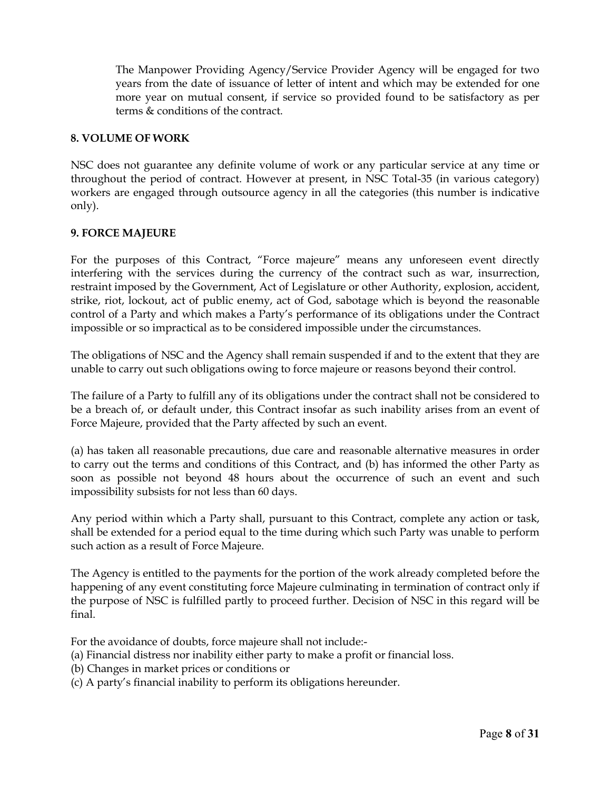The Manpower Providing Agency/Service Provider Agency will be engaged for two years from the date of issuance of letter of intent and which may be extended for one more year on mutual consent, if service so provided found to be satisfactory as per terms & conditions of the contract.

#### 8. VOLUME OF WORK

NSC does not guarantee any definite volume of work or any particular service at any time or throughout the period of contract. However at present, in NSC Total-35 (in various category) workers are engaged through outsource agency in all the categories (this number is indicative only).

#### 9. FORCE MAJEURE

For the purposes of this Contract, "Force majeure" means any unforeseen event directly interfering with the services during the currency of the contract such as war, insurrection, restraint imposed by the Government, Act of Legislature or other Authority, explosion, accident, strike, riot, lockout, act of public enemy, act of God, sabotage which is beyond the reasonable control of a Party and which makes a Party's performance of its obligations under the Contract impossible or so impractical as to be considered impossible under the circumstances.

The obligations of NSC and the Agency shall remain suspended if and to the extent that they are unable to carry out such obligations owing to force majeure or reasons beyond their control.

The failure of a Party to fulfill any of its obligations under the contract shall not be considered to be a breach of, or default under, this Contract insofar as such inability arises from an event of Force Majeure, provided that the Party affected by such an event.

(a) has taken all reasonable precautions, due care and reasonable alternative measures in order to carry out the terms and conditions of this Contract, and (b) has informed the other Party as soon as possible not beyond 48 hours about the occurrence of such an event and such impossibility subsists for not less than 60 days.

Any period within which a Party shall, pursuant to this Contract, complete any action or task, shall be extended for a period equal to the time during which such Party was unable to perform such action as a result of Force Majeure.

The Agency is entitled to the payments for the portion of the work already completed before the happening of any event constituting force Majeure culminating in termination of contract only if the purpose of NSC is fulfilled partly to proceed further. Decision of NSC in this regard will be final.

For the avoidance of doubts, force majeure shall not include:-

- (a) Financial distress nor inability either party to make a profit or financial loss.
- (b) Changes in market prices or conditions or
- (c) A party's financial inability to perform its obligations hereunder.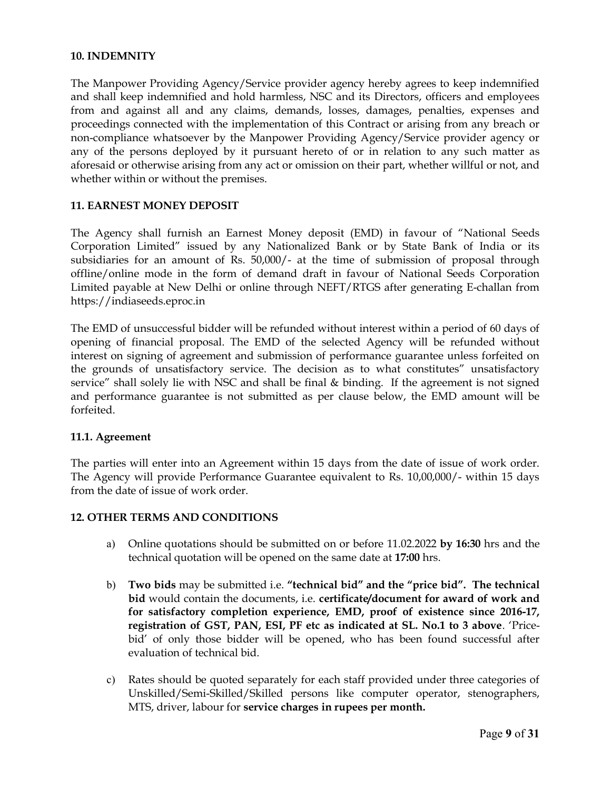#### 10. INDEMNITY

The Manpower Providing Agency/Service provider agency hereby agrees to keep indemnified and shall keep indemnified and hold harmless, NSC and its Directors, officers and employees from and against all and any claims, demands, losses, damages, penalties, expenses and proceedings connected with the implementation of this Contract or arising from any breach or non-compliance whatsoever by the Manpower Providing Agency/Service provider agency or any of the persons deployed by it pursuant hereto of or in relation to any such matter as aforesaid or otherwise arising from any act or omission on their part, whether willful or not, and whether within or without the premises.

# 11. EARNEST MONEY DEPOSIT

The Agency shall furnish an Earnest Money deposit (EMD) in favour of "National Seeds Corporation Limited" issued by any Nationalized Bank or by State Bank of India or its subsidiaries for an amount of Rs. 50,000/- at the time of submission of proposal through offline/online mode in the form of demand draft in favour of National Seeds Corporation Limited payable at New Delhi or online through NEFT/RTGS after generating E-challan from https://indiaseeds.eproc.in

The EMD of unsuccessful bidder will be refunded without interest within a period of 60 days of opening of financial proposal. The EMD of the selected Agency will be refunded without interest on signing of agreement and submission of performance guarantee unless forfeited on the grounds of unsatisfactory service. The decision as to what constitutes" unsatisfactory service" shall solely lie with NSC and shall be final & binding. If the agreement is not signed and performance guarantee is not submitted as per clause below, the EMD amount will be forfeited.

#### 11.1. Agreement

The parties will enter into an Agreement within 15 days from the date of issue of work order. The Agency will provide Performance Guarantee equivalent to Rs. 10,00,000/- within 15 days from the date of issue of work order.

#### 12. OTHER TERMS AND CONDITIONS

- a) Online quotations should be submitted on or before 11.02.2022 by 16:30 hrs and the technical quotation will be opened on the same date at 17:00 hrs.
- b) Two bids may be submitted i.e. "technical bid" and the "price bid". The technical bid would contain the documents, i.e. certificate/document for award of work and for satisfactory completion experience, EMD, proof of existence since 2016-17, registration of GST, PAN, ESI, PF etc as indicated at SL. No.1 to 3 above. 'Pricebid' of only those bidder will be opened, who has been found successful after evaluation of technical bid.
- c) Rates should be quoted separately for each staff provided under three categories of Unskilled/Semi-Skilled/Skilled persons like computer operator, stenographers, MTS, driver, labour for service charges in rupees per month.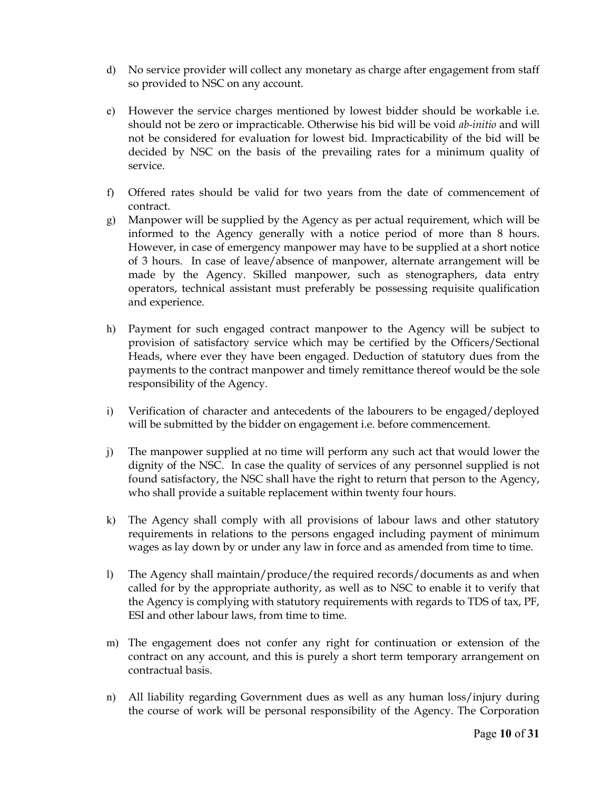- d) No service provider will collect any monetary as charge after engagement from staff so provided to NSC on any account.
- e) However the service charges mentioned by lowest bidder should be workable i.e. should not be zero or impracticable. Otherwise his bid will be void ab-initio and will not be considered for evaluation for lowest bid. Impracticability of the bid will be decided by NSC on the basis of the prevailing rates for a minimum quality of service.
- f) Offered rates should be valid for two years from the date of commencement of contract.
- g) Manpower will be supplied by the Agency as per actual requirement, which will be informed to the Agency generally with a notice period of more than 8 hours. However, in case of emergency manpower may have to be supplied at a short notice of 3 hours. In case of leave/absence of manpower, alternate arrangement will be made by the Agency. Skilled manpower, such as stenographers, data entry operators, technical assistant must preferably be possessing requisite qualification and experience.
- h) Payment for such engaged contract manpower to the Agency will be subject to provision of satisfactory service which may be certified by the Officers/Sectional Heads, where ever they have been engaged. Deduction of statutory dues from the payments to the contract manpower and timely remittance thereof would be the sole responsibility of the Agency.
- i) Verification of character and antecedents of the labourers to be engaged/deployed will be submitted by the bidder on engagement i.e. before commencement.
- j) The manpower supplied at no time will perform any such act that would lower the dignity of the NSC. In case the quality of services of any personnel supplied is not found satisfactory, the NSC shall have the right to return that person to the Agency, who shall provide a suitable replacement within twenty four hours.
- k) The Agency shall comply with all provisions of labour laws and other statutory requirements in relations to the persons engaged including payment of minimum wages as lay down by or under any law in force and as amended from time to time.
- l) The Agency shall maintain/produce/the required records/documents as and when called for by the appropriate authority, as well as to NSC to enable it to verify that the Agency is complying with statutory requirements with regards to TDS of tax, PF, ESI and other labour laws, from time to time.
- m) The engagement does not confer any right for continuation or extension of the contract on any account, and this is purely a short term temporary arrangement on contractual basis.
- n) All liability regarding Government dues as well as any human loss/injury during the course of work will be personal responsibility of the Agency. The Corporation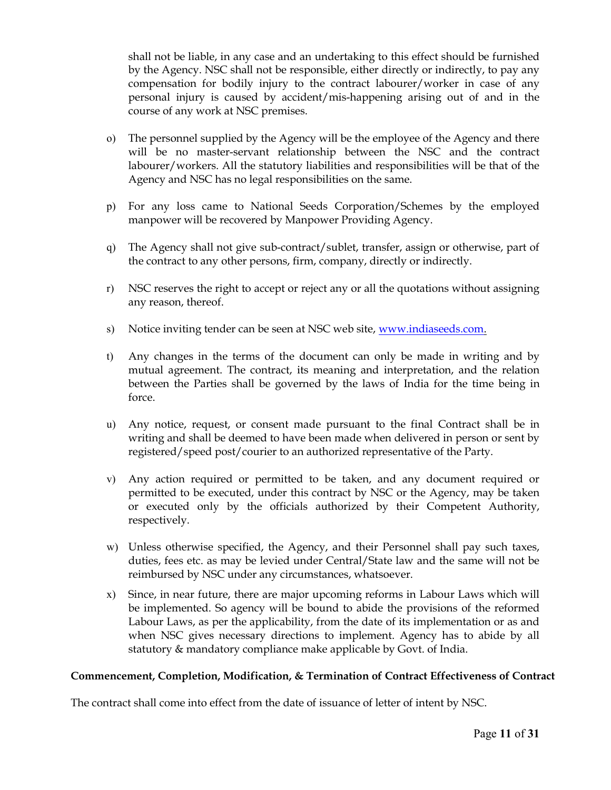shall not be liable, in any case and an undertaking to this effect should be furnished by the Agency. NSC shall not be responsible, either directly or indirectly, to pay any compensation for bodily injury to the contract labourer/worker in case of any personal injury is caused by accident/mis-happening arising out of and in the course of any work at NSC premises.

- o) The personnel supplied by the Agency will be the employee of the Agency and there will be no master-servant relationship between the NSC and the contract labourer/workers. All the statutory liabilities and responsibilities will be that of the Agency and NSC has no legal responsibilities on the same.
- p) For any loss came to National Seeds Corporation/Schemes by the employed manpower will be recovered by Manpower Providing Agency.
- q) The Agency shall not give sub-contract/sublet, transfer, assign or otherwise, part of the contract to any other persons, firm, company, directly or indirectly.
- r) NSC reserves the right to accept or reject any or all the quotations without assigning any reason, thereof.
- s) Notice inviting tender can be seen at NSC web site, www.indiaseeds.com.
- t) Any changes in the terms of the document can only be made in writing and by mutual agreement. The contract, its meaning and interpretation, and the relation between the Parties shall be governed by the laws of India for the time being in force.
- u) Any notice, request, or consent made pursuant to the final Contract shall be in writing and shall be deemed to have been made when delivered in person or sent by registered/speed post/courier to an authorized representative of the Party.
- v) Any action required or permitted to be taken, and any document required or permitted to be executed, under this contract by NSC or the Agency, may be taken or executed only by the officials authorized by their Competent Authority, respectively.
- w) Unless otherwise specified, the Agency, and their Personnel shall pay such taxes, duties, fees etc. as may be levied under Central/State law and the same will not be reimbursed by NSC under any circumstances, whatsoever.
- x) Since, in near future, there are major upcoming reforms in Labour Laws which will be implemented. So agency will be bound to abide the provisions of the reformed Labour Laws, as per the applicability, from the date of its implementation or as and when NSC gives necessary directions to implement. Agency has to abide by all statutory & mandatory compliance make applicable by Govt. of India.

# Commencement, Completion, Modification, & Termination of Contract Effectiveness of Contract

The contract shall come into effect from the date of issuance of letter of intent by NSC.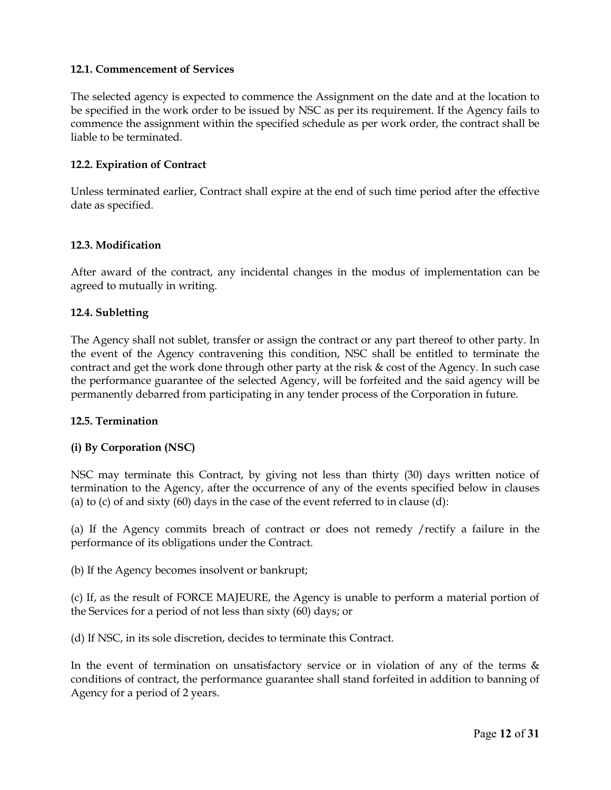## 12.1. Commencement of Services

The selected agency is expected to commence the Assignment on the date and at the location to be specified in the work order to be issued by NSC as per its requirement. If the Agency fails to commence the assignment within the specified schedule as per work order, the contract shall be liable to be terminated.

# 12.2. Expiration of Contract

Unless terminated earlier, Contract shall expire at the end of such time period after the effective date as specified.

#### 12.3. Modification

After award of the contract, any incidental changes in the modus of implementation can be agreed to mutually in writing.

#### 12.4. Subletting

The Agency shall not sublet, transfer or assign the contract or any part thereof to other party. In the event of the Agency contravening this condition, NSC shall be entitled to terminate the contract and get the work done through other party at the risk & cost of the Agency. In such case the performance guarantee of the selected Agency, will be forfeited and the said agency will be permanently debarred from participating in any tender process of the Corporation in future.

#### 12.5. Termination

# (i) By Corporation (NSC)

NSC may terminate this Contract, by giving not less than thirty (30) days written notice of termination to the Agency, after the occurrence of any of the events specified below in clauses (a) to (c) of and sixty  $(60)$  days in the case of the event referred to in clause  $(d)$ :

(a) If the Agency commits breach of contract or does not remedy /rectify a failure in the performance of its obligations under the Contract.

(b) If the Agency becomes insolvent or bankrupt;

(c) If, as the result of FORCE MAJEURE, the Agency is unable to perform a material portion of the Services for a period of not less than sixty (60) days; or

(d) If NSC, in its sole discretion, decides to terminate this Contract.

In the event of termination on unsatisfactory service or in violation of any of the terms  $\&$ conditions of contract, the performance guarantee shall stand forfeited in addition to banning of Agency for a period of 2 years.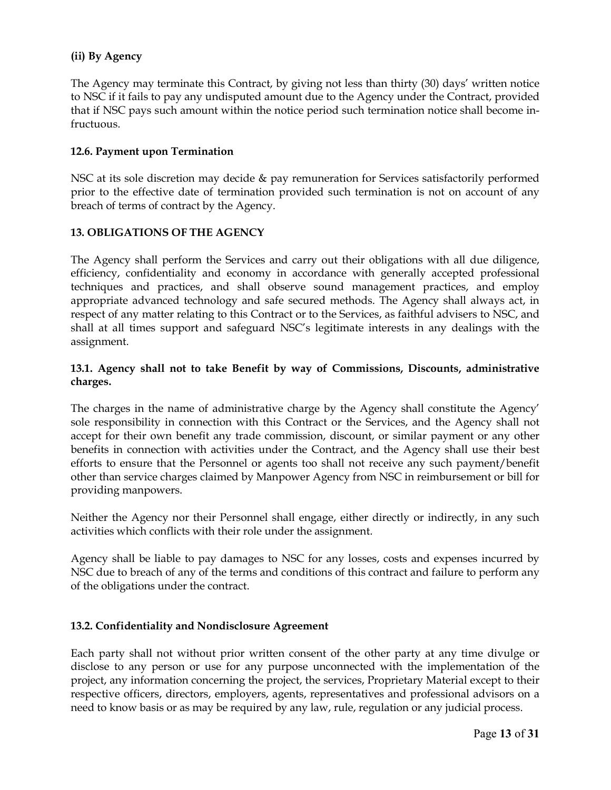# (ii) By Agency

The Agency may terminate this Contract, by giving not less than thirty (30) days' written notice to NSC if it fails to pay any undisputed amount due to the Agency under the Contract, provided that if NSC pays such amount within the notice period such termination notice shall become infructuous.

# 12.6. Payment upon Termination

NSC at its sole discretion may decide & pay remuneration for Services satisfactorily performed prior to the effective date of termination provided such termination is not on account of any breach of terms of contract by the Agency.

# 13. OBLIGATIONS OF THE AGENCY

The Agency shall perform the Services and carry out their obligations with all due diligence, efficiency, confidentiality and economy in accordance with generally accepted professional techniques and practices, and shall observe sound management practices, and employ appropriate advanced technology and safe secured methods. The Agency shall always act, in respect of any matter relating to this Contract or to the Services, as faithful advisers to NSC, and shall at all times support and safeguard NSC's legitimate interests in any dealings with the assignment.

# 13.1. Agency shall not to take Benefit by way of Commissions, Discounts, administrative charges.

The charges in the name of administrative charge by the Agency shall constitute the Agency' sole responsibility in connection with this Contract or the Services, and the Agency shall not accept for their own benefit any trade commission, discount, or similar payment or any other benefits in connection with activities under the Contract, and the Agency shall use their best efforts to ensure that the Personnel or agents too shall not receive any such payment/benefit other than service charges claimed by Manpower Agency from NSC in reimbursement or bill for providing manpowers.

Neither the Agency nor their Personnel shall engage, either directly or indirectly, in any such activities which conflicts with their role under the assignment.

Agency shall be liable to pay damages to NSC for any losses, costs and expenses incurred by NSC due to breach of any of the terms and conditions of this contract and failure to perform any of the obligations under the contract.

# 13.2. Confidentiality and Nondisclosure Agreement

Each party shall not without prior written consent of the other party at any time divulge or disclose to any person or use for any purpose unconnected with the implementation of the project, any information concerning the project, the services, Proprietary Material except to their respective officers, directors, employers, agents, representatives and professional advisors on a need to know basis or as may be required by any law, rule, regulation or any judicial process.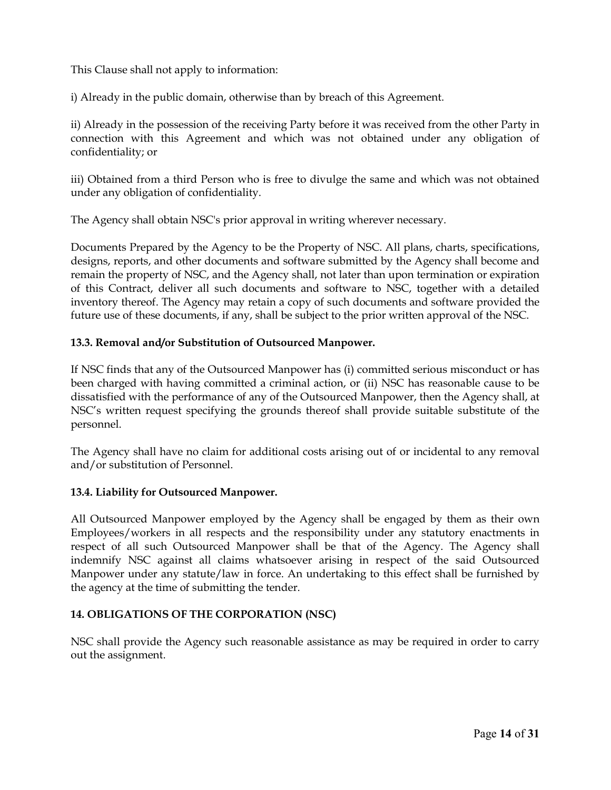This Clause shall not apply to information:

i) Already in the public domain, otherwise than by breach of this Agreement.

ii) Already in the possession of the receiving Party before it was received from the other Party in connection with this Agreement and which was not obtained under any obligation of confidentiality; or

iii) Obtained from a third Person who is free to divulge the same and which was not obtained under any obligation of confidentiality.

The Agency shall obtain NSC's prior approval in writing wherever necessary.

Documents Prepared by the Agency to be the Property of NSC. All plans, charts, specifications, designs, reports, and other documents and software submitted by the Agency shall become and remain the property of NSC, and the Agency shall, not later than upon termination or expiration of this Contract, deliver all such documents and software to NSC, together with a detailed inventory thereof. The Agency may retain a copy of such documents and software provided the future use of these documents, if any, shall be subject to the prior written approval of the NSC.

# 13.3. Removal and/or Substitution of Outsourced Manpower.

If NSC finds that any of the Outsourced Manpower has (i) committed serious misconduct or has been charged with having committed a criminal action, or (ii) NSC has reasonable cause to be dissatisfied with the performance of any of the Outsourced Manpower, then the Agency shall, at NSC's written request specifying the grounds thereof shall provide suitable substitute of the personnel.

The Agency shall have no claim for additional costs arising out of or incidental to any removal and/or substitution of Personnel.

# 13.4. Liability for Outsourced Manpower.

All Outsourced Manpower employed by the Agency shall be engaged by them as their own Employees/workers in all respects and the responsibility under any statutory enactments in respect of all such Outsourced Manpower shall be that of the Agency. The Agency shall indemnify NSC against all claims whatsoever arising in respect of the said Outsourced Manpower under any statute/law in force. An undertaking to this effect shall be furnished by the agency at the time of submitting the tender.

# 14. OBLIGATIONS OF THE CORPORATION (NSC)

NSC shall provide the Agency such reasonable assistance as may be required in order to carry out the assignment.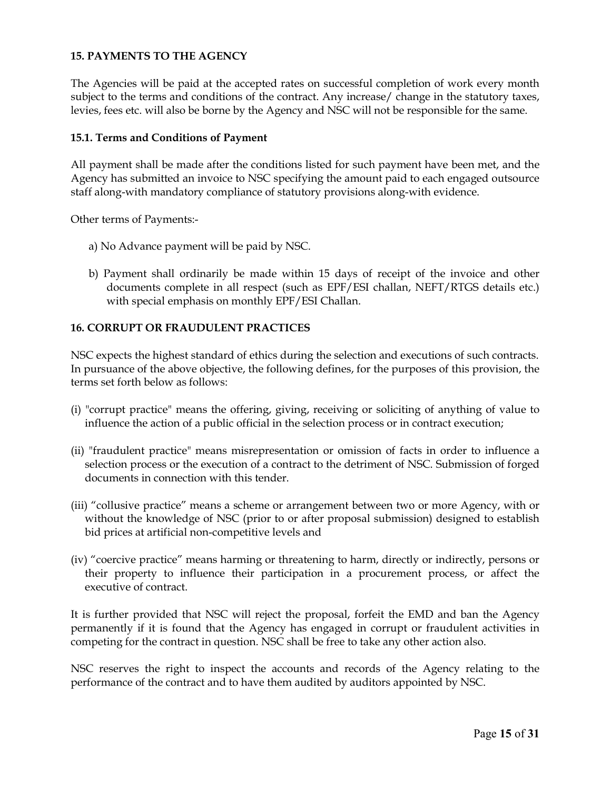# 15. PAYMENTS TO THE AGENCY

The Agencies will be paid at the accepted rates on successful completion of work every month subject to the terms and conditions of the contract. Any increase/ change in the statutory taxes, levies, fees etc. will also be borne by the Agency and NSC will not be responsible for the same.

#### 15.1. Terms and Conditions of Payment

All payment shall be made after the conditions listed for such payment have been met, and the Agency has submitted an invoice to NSC specifying the amount paid to each engaged outsource staff along-with mandatory compliance of statutory provisions along-with evidence.

Other terms of Payments:-

- a) No Advance payment will be paid by NSC.
- b) Payment shall ordinarily be made within 15 days of receipt of the invoice and other documents complete in all respect (such as EPF/ESI challan, NEFT/RTGS details etc.) with special emphasis on monthly EPF/ESI Challan.

#### 16. CORRUPT OR FRAUDULENT PRACTICES

NSC expects the highest standard of ethics during the selection and executions of such contracts. In pursuance of the above objective, the following defines, for the purposes of this provision, the terms set forth below as follows:

- (i) "corrupt practice" means the offering, giving, receiving or soliciting of anything of value to influence the action of a public official in the selection process or in contract execution;
- (ii) "fraudulent practice" means misrepresentation or omission of facts in order to influence a selection process or the execution of a contract to the detriment of NSC. Submission of forged documents in connection with this tender.
- (iii) "collusive practice" means a scheme or arrangement between two or more Agency, with or without the knowledge of NSC (prior to or after proposal submission) designed to establish bid prices at artificial non-competitive levels and
- (iv) "coercive practice" means harming or threatening to harm, directly or indirectly, persons or their property to influence their participation in a procurement process, or affect the executive of contract.

It is further provided that NSC will reject the proposal, forfeit the EMD and ban the Agency permanently if it is found that the Agency has engaged in corrupt or fraudulent activities in competing for the contract in question. NSC shall be free to take any other action also.

NSC reserves the right to inspect the accounts and records of the Agency relating to the performance of the contract and to have them audited by auditors appointed by NSC.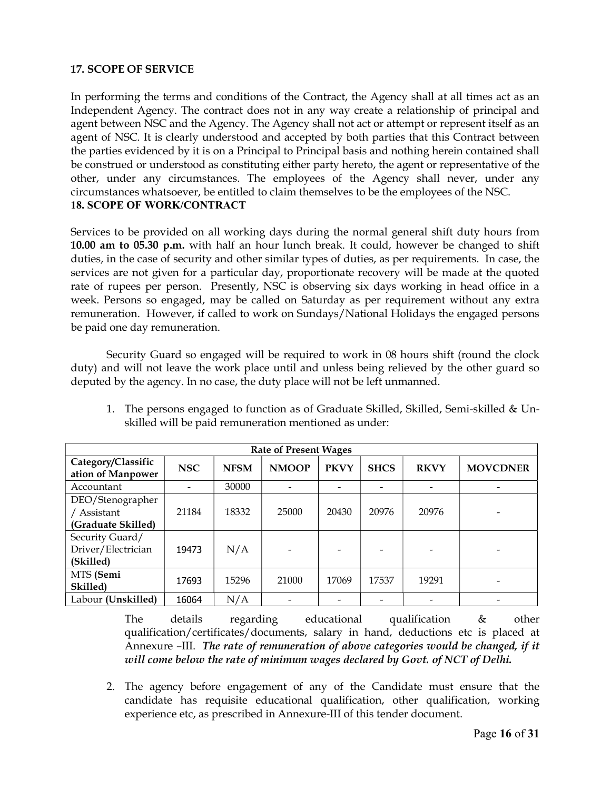## 17. SCOPE OF SERVICE

In performing the terms and conditions of the Contract, the Agency shall at all times act as an Independent Agency. The contract does not in any way create a relationship of principal and agent between NSC and the Agency. The Agency shall not act or attempt or represent itself as an agent of NSC. It is clearly understood and accepted by both parties that this Contract between the parties evidenced by it is on a Principal to Principal basis and nothing herein contained shall be construed or understood as constituting either party hereto, the agent or representative of the other, under any circumstances. The employees of the Agency shall never, under any circumstances whatsoever, be entitled to claim themselves to be the employees of the NSC. 18. SCOPE OF WORK/CONTRACT

Services to be provided on all working days during the normal general shift duty hours from 10.00 am to 05.30 p.m. with half an hour lunch break. It could, however be changed to shift duties, in the case of security and other similar types of duties, as per requirements. In case, the services are not given for a particular day, proportionate recovery will be made at the quoted rate of rupees per person. Presently, NSC is observing six days working in head office in a week. Persons so engaged, may be called on Saturday as per requirement without any extra remuneration. However, if called to work on Sundays/National Holidays the engaged persons be paid one day remuneration.

Security Guard so engaged will be required to work in 08 hours shift (round the clock duty) and will not leave the work place until and unless being relieved by the other guard so deputed by the agency. In no case, the duty place will not be left unmanned.

| <b>Rate of Present Wages</b>                       |            |             |              |             |             |             |                 |  |  |  |
|----------------------------------------------------|------------|-------------|--------------|-------------|-------------|-------------|-----------------|--|--|--|
| Category/Classific<br>ation of Manpower            | <b>NSC</b> | <b>NFSM</b> | <b>NMOOP</b> | <b>PKVY</b> | <b>SHCS</b> | <b>RKVY</b> | <b>MOVCDNER</b> |  |  |  |
| Accountant                                         |            | 30000       |              |             |             |             |                 |  |  |  |
| DEO/Stenographer                                   |            |             |              |             |             |             |                 |  |  |  |
| / Assistant                                        | 21184      | 18332       | 25000        | 20430       | 20976       | 20976       |                 |  |  |  |
| (Graduate Skilled)                                 |            |             |              |             |             |             |                 |  |  |  |
| Security Guard/<br>Driver/Electrician<br>(Skilled) | 19473      | N/A         |              |             |             |             |                 |  |  |  |
| MTS (Semi<br>Skilled)                              | 17693      | 15296       | 21000        | 17069       | 17537       | 19291       |                 |  |  |  |
| Labour (Unskilled)                                 | 16064      | N/A         |              |             |             |             |                 |  |  |  |

1. The persons engaged to function as of Graduate Skilled, Skilled, Semi-skilled & Unskilled will be paid remuneration mentioned as under:

The details regarding educational qualification & other qualification/certificates/documents, salary in hand, deductions etc is placed at Annexure –III. The rate of remuneration of above categories would be changed, if it will come below the rate of minimum wages declared by Govt. of NCT of Delhi.

2. The agency before engagement of any of the Candidate must ensure that the candidate has requisite educational qualification, other qualification, working experience etc, as prescribed in Annexure-III of this tender document.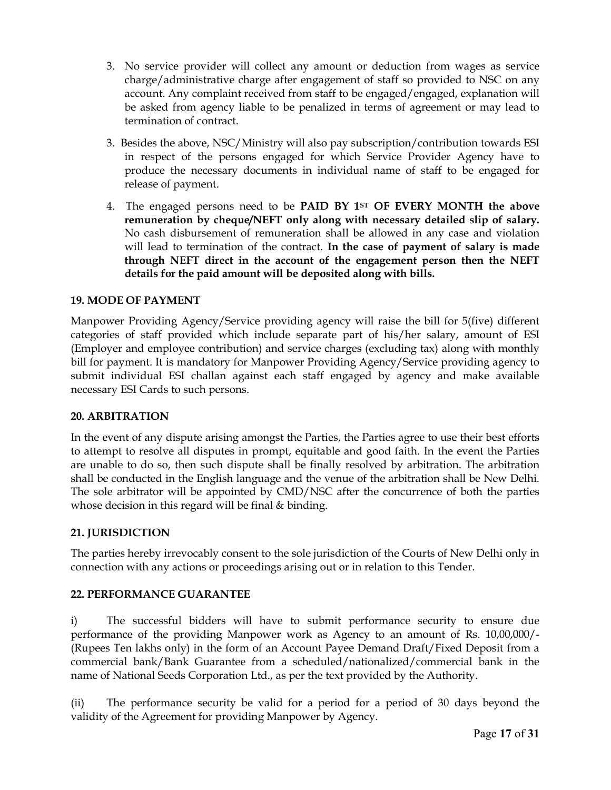- 3. No service provider will collect any amount or deduction from wages as service charge/administrative charge after engagement of staff so provided to NSC on any account. Any complaint received from staff to be engaged/engaged, explanation will be asked from agency liable to be penalized in terms of agreement or may lead to termination of contract.
- 3. Besides the above, NSC/Ministry will also pay subscription/contribution towards ESI in respect of the persons engaged for which Service Provider Agency have to produce the necessary documents in individual name of staff to be engaged for release of payment.
- 4. The engaged persons need to be PAID BY 1<sup>ST</sup> OF EVERY MONTH the above remuneration by cheque/NEFT only along with necessary detailed slip of salary. No cash disbursement of remuneration shall be allowed in any case and violation will lead to termination of the contract. In the case of payment of salary is made through NEFT direct in the account of the engagement person then the NEFT details for the paid amount will be deposited along with bills.

# 19. MODE OF PAYMENT

Manpower Providing Agency/Service providing agency will raise the bill for 5(five) different categories of staff provided which include separate part of his/her salary, amount of ESI (Employer and employee contribution) and service charges (excluding tax) along with monthly bill for payment. It is mandatory for Manpower Providing Agency/Service providing agency to submit individual ESI challan against each staff engaged by agency and make available necessary ESI Cards to such persons.

#### 20. ARBITRATION

In the event of any dispute arising amongst the Parties, the Parties agree to use their best efforts to attempt to resolve all disputes in prompt, equitable and good faith. In the event the Parties are unable to do so, then such dispute shall be finally resolved by arbitration. The arbitration shall be conducted in the English language and the venue of the arbitration shall be New Delhi. The sole arbitrator will be appointed by CMD/NSC after the concurrence of both the parties whose decision in this regard will be final & binding.

# 21. JURISDICTION

The parties hereby irrevocably consent to the sole jurisdiction of the Courts of New Delhi only in connection with any actions or proceedings arising out or in relation to this Tender.

#### 22. PERFORMANCE GUARANTEE

i) The successful bidders will have to submit performance security to ensure due performance of the providing Manpower work as Agency to an amount of Rs. 10,00,000/- (Rupees Ten lakhs only) in the form of an Account Payee Demand Draft/Fixed Deposit from a commercial bank/Bank Guarantee from a scheduled/nationalized/commercial bank in the name of National Seeds Corporation Ltd., as per the text provided by the Authority.

(ii) The performance security be valid for a period for a period of 30 days beyond the validity of the Agreement for providing Manpower by Agency.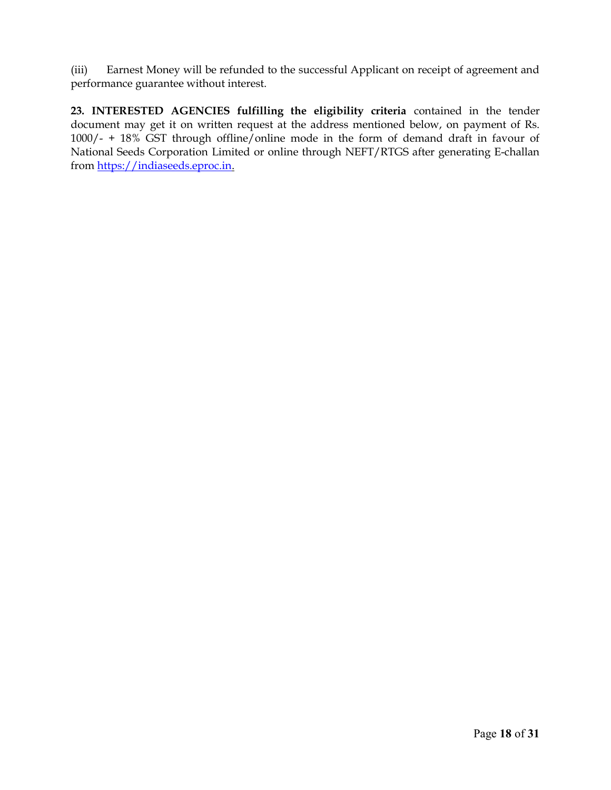(iii) Earnest Money will be refunded to the successful Applicant on receipt of agreement and performance guarantee without interest.

23. INTERESTED AGENCIES fulfilling the eligibility criteria contained in the tender document may get it on written request at the address mentioned below, on payment of Rs. 1000/- + 18% GST through offline/online mode in the form of demand draft in favour of National Seeds Corporation Limited or online through NEFT/RTGS after generating E-challan from https://indiaseeds.eproc.in.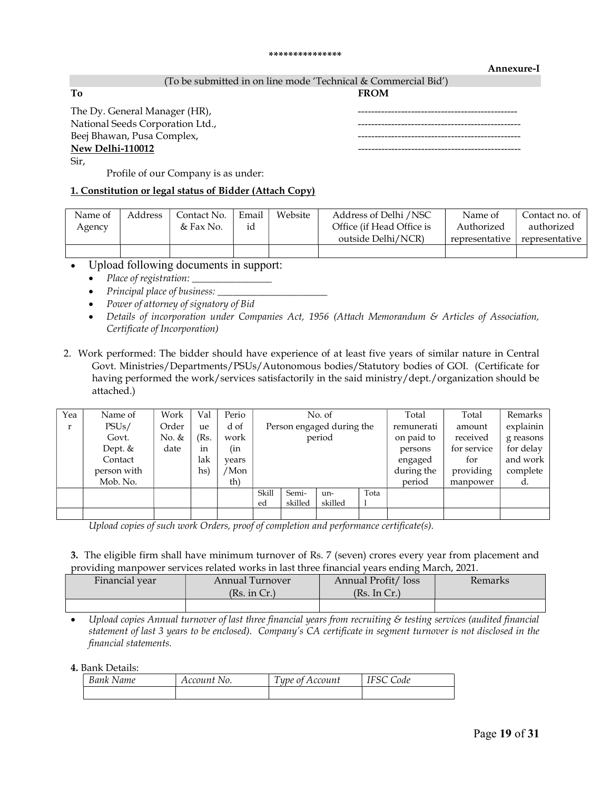#### \*\*\*\*\*\*\*\*\*\*\*\*\*\*\*

#### Annexure-I

#### (To be submitted in on line mode 'Technical & Commercial Bid')

To FROM

Sir,

#### The Dy. General Manager (HR), National Seeds Corporation Ltd., Beej Bhawan, Pusa Complex, New Delhi-110012

Profile of our Company is as under:

#### 1. Constitution or legal status of Bidder (Attach Copy)

| Name of | Address | Contact No. | Email | Website | Address of Delhi /NSC     | Name of        | Contact no. of |
|---------|---------|-------------|-------|---------|---------------------------|----------------|----------------|
| Agency  |         | & Fax No.   | id    |         | Office (if Head Office is | Authorized     | authorized     |
|         |         |             |       |         | outside Delhi/NCR)        | representative | corresentative |
|         |         |             |       |         |                           |                |                |

- Upload following documents in support:
	- Place of registration: \_\_\_\_\_\_\_\_\_\_\_\_\_\_\_\_
	- Principal place of business: \_\_\_\_\_\_\_\_\_\_\_\_\_\_\_\_\_\_\_\_\_\_
	- Power of attorney of signatory of Bid
	- Details of incorporation under Companies Act, 1956 (Attach Memorandum & Articles of Association, Certificate of Incorporation)

#### 2. Work performed: The bidder should have experience of at least five years of similar nature in Central Govt. Ministries/Departments/PSUs/Autonomous bodies/Statutory bodies of GOI. (Certificate for having performed the work/services satisfactorily in the said ministry/dept./organization should be attached.)

| Yea | Name of     | Work  | Val  | Perio | No. of                    |         |         |            | Total      | Total       | Remarks   |
|-----|-------------|-------|------|-------|---------------------------|---------|---------|------------|------------|-------------|-----------|
| r   | PSUs/       | Order | ue   | d of  | Person engaged during the |         |         |            | remunerati | amount      | explainin |
|     | Govt.       | No. & | (Rs. | work  | period                    |         |         |            | on paid to | received    | g reasons |
|     | Dept. $&$   | date  | in   | (in   |                           |         |         |            | persons    | for service | for delay |
|     | Contact     |       | lak  | vears |                           |         |         | engaged    | for        | and work    |           |
|     | person with |       | hs)  | 'Mon  |                           |         |         | during the | providing  | complete    |           |
|     | Mob. No.    |       |      | th)   |                           |         |         |            | period     | manpower    | d.        |
|     |             |       |      |       | Skill                     | Semi-   | un-     | Tota       |            |             |           |
|     |             |       |      |       | ed                        | skilled | skilled |            |            |             |           |
|     |             |       |      |       |                           |         |         |            |            |             |           |

Upload copies of such work Orders, proof of completion and performance certificate(s).

#### 3. The eligible firm shall have minimum turnover of Rs. 7 (seven) crores every year from placement and providing manpower services related works in last three financial years ending March, 2021.

| Financial year | Annual Turnover | Annual Profit/loss | Kemarks |
|----------------|-----------------|--------------------|---------|
|                | (Rs. in Cr.)    | (Rs. In Cr.)       |         |
|                |                 |                    |         |

 Upload copies Annual turnover of last three financial years from recruiting & testing services (audited financial statement of last 3 years to be enclosed). Company's CA certificate in segment turnover is not disclosed in the financial statements.

4. Bank Details:

| Bank Name | Account No. | $\mathbf{r}$<br>upe of Account | Code |
|-----------|-------------|--------------------------------|------|
|           |             |                                |      |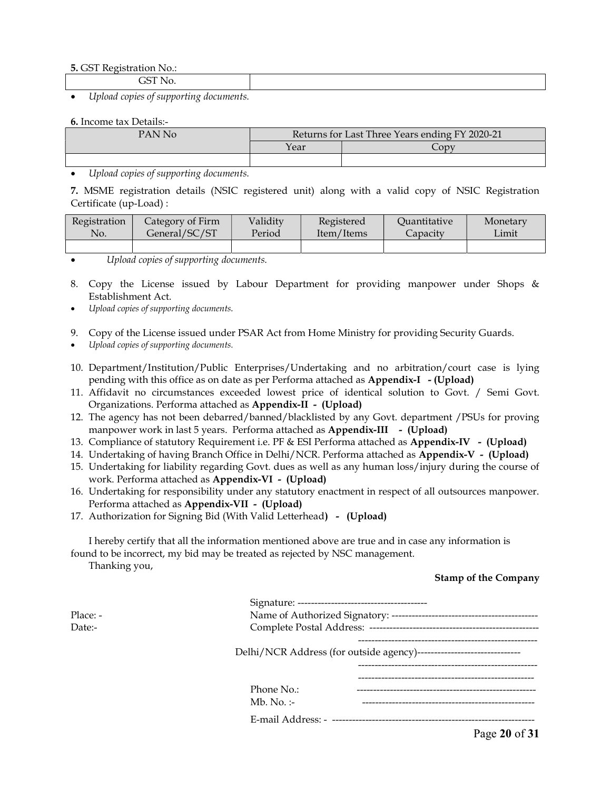#### 5. GST Registration No.:

GST No.

Upload copies of supporting documents.

#### 6. Income tax Details:-

| PAN No | Returns for Last Three Years ending FY 2020-21 |              |  |  |
|--------|------------------------------------------------|--------------|--|--|
|        | Year                                           | $\angle$ ODV |  |  |
|        |                                                |              |  |  |

Upload copies of supporting documents.

7. MSME registration details (NSIC registered unit) along with a valid copy of NSIC Registration Certificate (up-Load) :

| Registration | Category of Firm | Validity | Registered | Quantitative | Monetary |
|--------------|------------------|----------|------------|--------------|----------|
| No.          | General/SC/ST    | Period   | Item/Items | Capacity     | Limit    |
|              |                  |          |            |              |          |

Upload copies of supporting documents.

- 8. Copy the License issued by Labour Department for providing manpower under Shops & Establishment Act.
- Upload copies of supporting documents.
- 9. Copy of the License issued under PSAR Act from Home Ministry for providing Security Guards.
- Upload copies of supporting documents.
- 10. Department/Institution/Public Enterprises/Undertaking and no arbitration/court case is lying pending with this office as on date as per Performa attached as Appendix-I - (Upload)
- 11. Affidavit no circumstances exceeded lowest price of identical solution to Govt. / Semi Govt. Organizations. Performa attached as Appendix-II - (Upload)
- 12. The agency has not been debarred/banned/blacklisted by any Govt. department /PSUs for proving manpower work in last 5 years. Performa attached as Appendix-III - (Upload)
- 13. Compliance of statutory Requirement i.e. PF & ESI Performa attached as Appendix-IV (Upload)
- 14. Undertaking of having Branch Office in Delhi/NCR. Performa attached as Appendix-V (Upload)
- 15. Undertaking for liability regarding Govt. dues as well as any human loss/injury during the course of work. Performa attached as Appendix-VI - (Upload)
- 16. Undertaking for responsibility under any statutory enactment in respect of all outsources manpower. Performa attached as Appendix-VII - (Upload)
- 17. Authorization for Signing Bid (With Valid Letterhead) (Upload)

I hereby certify that all the information mentioned above are true and in case any information is found to be incorrect, my bid may be treated as rejected by NSC management.

Thanking you,

#### Stamp of the Company

| Place: - |                                                                        |
|----------|------------------------------------------------------------------------|
| Date:-   |                                                                        |
|          | Delhi/NCR Address (for outside agency)-------------------------------- |
|          |                                                                        |
|          | Phone No.:                                                             |
|          | Mb. No. $:-$                                                           |
|          |                                                                        |
|          | $\mathbf{B}$ and $\mathbf{A}$                                          |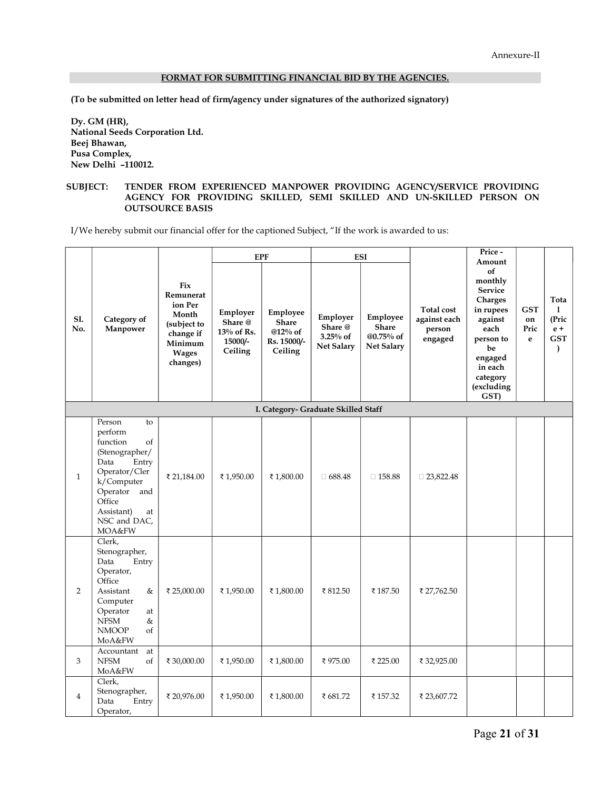#### FORMAT FOR SUBMITTING FINANCIAL BID BY THE AGENCIES.

(To be submitted on letter head of firm/agency under signatures of the authorized signatory)

Dy. GM (HR), National Seeds Corporation Ltd. Beej Bhawan, Pusa Complex, New Delhi –110012.

#### SUBJECT: TENDER FROM EXPERIENCED MANPOWER PROVIDING AGENCY/SERVICE PROVIDING AGENCY FOR PROVIDING SKILLED, SEMI SKILLED AND UN-SKILLED PERSON ON OUTSOURCE BASIS

I/We hereby submit our financial offer for the captioned Subject, "If the work is awarded to us:

|                |                                                                                                                                                                                     |                                                                                                         |                                                            | <b>EPF</b>                                                    |                                                      | <b>ESI</b>                                          |                                                        | Price-<br>Amount                                                                                                                                      |                               |                                                                |
|----------------|-------------------------------------------------------------------------------------------------------------------------------------------------------------------------------------|---------------------------------------------------------------------------------------------------------|------------------------------------------------------------|---------------------------------------------------------------|------------------------------------------------------|-----------------------------------------------------|--------------------------------------------------------|-------------------------------------------------------------------------------------------------------------------------------------------------------|-------------------------------|----------------------------------------------------------------|
| SI.<br>No.     | Category of<br>Manpower                                                                                                                                                             | Fix<br>Remunerat<br>ion Per<br>Month<br>(subject to<br>change if<br>Minimum<br><b>Wages</b><br>changes) | Employer<br>Share @<br>$13\%$ of Rs.<br>15000/-<br>Ceiling | Employee<br><b>Share</b><br>@12% of<br>Rs. 15000/-<br>Ceiling | Employer<br>Share @<br>3.25% of<br><b>Net Salary</b> | Employee<br>Share<br>@0.75% of<br><b>Net Salary</b> | <b>Total cost</b><br>against each<br>person<br>engaged | of<br>monthly<br><b>Service</b><br>Charges<br>in rupees<br>against<br>each<br>person to<br>be<br>engaged<br>in each<br>category<br>(excluding<br>GST) | <b>GST</b><br>on<br>Pric<br>e | Tota<br>1<br>(Pric<br>$e +$<br>$\mathbf{GST}$<br>$\mathcal{L}$ |
|                |                                                                                                                                                                                     |                                                                                                         |                                                            |                                                               | I. Category- Graduate Skilled Staff                  |                                                     |                                                        |                                                                                                                                                       |                               |                                                                |
| $\mathbf{1}$   | Person<br>to<br>perform<br>function<br>of<br>(Stenographer/<br>Entry<br>Data<br>Operator/Cler<br>k/Computer<br>Operator and<br>Office<br>Assistant)<br>at<br>NSC and DAC,<br>MOA&FW | ₹ 21,184.00                                                                                             | ₹1,950.00                                                  | ₹1,800.00                                                     | $\Box$ 688.48                                        | $\square$ 158.88                                    | $\Box$ 23,822.48                                       |                                                                                                                                                       |                               |                                                                |
| $\overline{2}$ | Clerk,<br>Stenographer,<br>Data<br>Entry<br>Operator,<br>Office<br>Assistant<br>&<br>Computer<br>Operator<br>at<br><b>NFSM</b><br>&<br><b>NMOOP</b><br>of<br>MoA&FW                 | ₹ 25,000.00                                                                                             | ₹1,950.00                                                  | ₹1,800.00                                                     | ₹812.50                                              | ₹187.50                                             | ₹ 27,762.50                                            |                                                                                                                                                       |                               |                                                                |
| 3              | Accountant<br>at<br><b>NFSM</b><br>of<br>MoA&FW                                                                                                                                     | ₹ 30,000.00                                                                                             | ₹1,950.00                                                  | ₹1,800.00                                                     | ₹975.00                                              | ₹ 225.00                                            | ₹ 32,925.00                                            |                                                                                                                                                       |                               |                                                                |
| $\overline{4}$ | Clerk,<br>Stenographer,<br>Data<br>Entry<br>Operator,                                                                                                                               | ₹ 20,976.00                                                                                             | ₹1,950.00                                                  | ₹1,800.00                                                     | ₹ 681.72                                             | ₹157.32                                             | ₹ 23,607.72                                            |                                                                                                                                                       |                               |                                                                |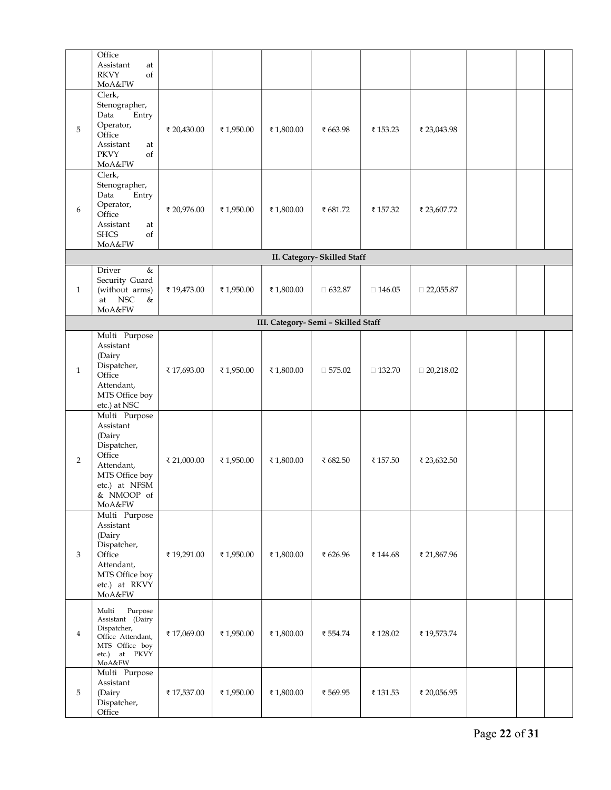|                | Office<br>Assistant<br>at<br><b>RKVY</b><br>of<br>MoA&FW                                                                               |             |           |            |                             |               |                  |  |  |  |  |  |
|----------------|----------------------------------------------------------------------------------------------------------------------------------------|-------------|-----------|------------|-----------------------------|---------------|------------------|--|--|--|--|--|
| 5              | Clerk,<br>Stenographer,<br>Data<br>Entry<br>Operator,<br>Office<br>Assistant<br>at<br><b>PKVY</b><br>of<br>MoA&FW                      | ₹ 20,430.00 | ₹1,950.00 | ₹ 1,800.00 | ₹ 663.98                    | ₹153.23       | ₹ 23,043.98      |  |  |  |  |  |
| 6              | Clerk,<br>Stenographer,<br>Data<br>Entry<br>Operator,<br>Office<br>Assistant<br>at<br><b>SHCS</b><br>of<br>MoA&FW                      | ₹ 20,976.00 | ₹1,950.00 | ₹1,800.00  | ₹ 681.72                    | ₹157.32       | ₹ 23,607.72      |  |  |  |  |  |
|                |                                                                                                                                        |             |           |            | II. Category- Skilled Staff |               |                  |  |  |  |  |  |
| $\mathbf{1}$   | Driver<br>$\&$<br>Security Guard<br>(without arms)<br>at NSC<br>&<br>MoA&FW                                                            | ₹19,473.00  | ₹1,950.00 | ₹1,800.00  | $\Box$ 632.87               | $\Box$ 146.05 | $\Box$ 22,055.87 |  |  |  |  |  |
|                | III. Category- Semi - Skilled Staff                                                                                                    |             |           |            |                             |               |                  |  |  |  |  |  |
| $\mathbf{1}$   | Multi Purpose<br>Assistant<br>(Dairy<br>Dispatcher,<br>Office<br>Attendant,<br>MTS Office boy<br>etc.) at NSC                          | ₹17,693.00  | ₹1,950.00 | ₹1,800.00  | $\Box$ 575.02               | $\Box$ 132.70 | $\Box$ 20,218.02 |  |  |  |  |  |
| $\overline{2}$ | Multi Purpose<br>Assistant<br>(Dairy<br>Dispatcher,<br>Office<br>Attendant,<br>MTS Office boy<br>etc.) at NFSM<br>& NMOOP of<br>MoA&FW | ₹ 21,000.00 | ₹1,950.00 | ₹1,800.00  | ₹ 682.50                    | ₹ 157.50      | ₹ 23,632.50      |  |  |  |  |  |
| 3              | Multi Purpose<br>Assistant<br>(Dairy<br>Dispatcher,<br>Office<br>Attendant,<br>MTS Office boy<br>etc.) at RKVY<br>MoA&FW               | ₹19,291.00  | ₹1,950.00 | ₹ 1,800.00 | ₹ 626.96                    | ₹144.68       | ₹ 21,867.96      |  |  |  |  |  |
| $\overline{4}$ | Multi<br>Purpose<br>Assistant (Dairy<br>Dispatcher,<br>Office Attendant,<br>MTS Office boy<br>etc.) at PKVY<br>MoA&FW                  | ₹17,069.00  | ₹1,950.00 | ₹ 1,800.00 | ₹ 554.74                    | ₹128.02       | ₹19,573.74       |  |  |  |  |  |
| 5              | Multi Purpose<br>Assistant<br>(Dairy<br>Dispatcher,<br>Office                                                                          | ₹17,537.00  | ₹1,950.00 | ₹ 1,800.00 | ₹569.95                     | ₹131.53       | ₹ 20,056.95      |  |  |  |  |  |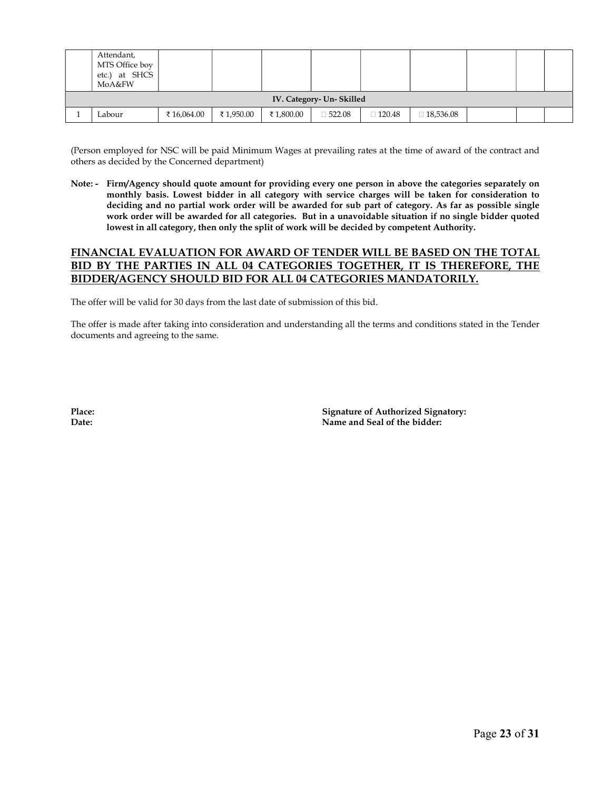| Attendant,<br>MTS Office boy<br>etc.) at SHCS<br>MoA&FW |            |           |           |               |               |           |  |  |  |  |
|---------------------------------------------------------|------------|-----------|-----------|---------------|---------------|-----------|--|--|--|--|
| IV. Category- Un- Skilled                               |            |           |           |               |               |           |  |  |  |  |
| Labour                                                  | ₹16,064.00 | ₹1,950.00 | ₹1,800.00 | $\Box 522.08$ | $\Box 120.48$ | 18,536.08 |  |  |  |  |

(Person employed for NSC will be paid Minimum Wages at prevailing rates at the time of award of the contract and others as decided by the Concerned department)

Note: - Firm/Agency should quote amount for providing every one person in above the categories separately on monthly basis. Lowest bidder in all category with service charges will be taken for consideration to deciding and no partial work order will be awarded for sub part of category. As far as possible single work order will be awarded for all categories. But in a unavoidable situation if no single bidder quoted lowest in all category, then only the split of work will be decided by competent Authority.

#### FINANCIAL EVALUATION FOR AWARD OF TENDER WILL BE BASED ON THE TOTAL BID BY THE PARTIES IN ALL 04 CATEGORIES TOGETHER, IT IS THEREFORE, THE BIDDER/AGENCY SHOULD BID FOR ALL 04 CATEGORIES MANDATORILY.

The offer will be valid for 30 days from the last date of submission of this bid.

The offer is made after taking into consideration and understanding all the terms and conditions stated in the Tender documents and agreeing to the same.

Place: Signature of Authorized Signatory: Date: Name and Seal of the bidder: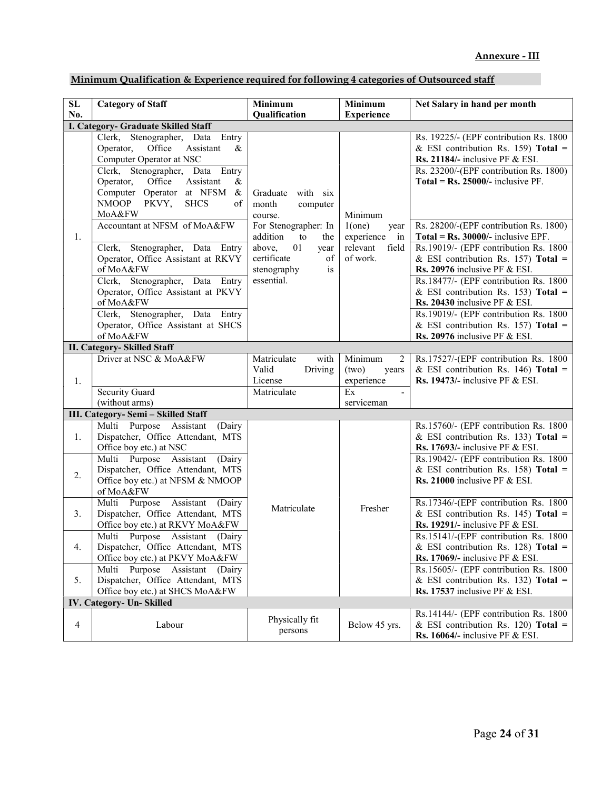|  | Minimum Qualification & Experience required for following 4 categories of Outsourced staff |
|--|--------------------------------------------------------------------------------------------|
|  |                                                                                            |

| ${\bf SL}$     | <b>Category of Staff</b>                                                                                                                                                                                                                                                                                                                                                                                                                  | Minimum                                                                                                                                                                            | Minimum                                                                        | Net Salary in hand per month                                                                                                                                                                                                                                                                                                                                                                                                                    |
|----------------|-------------------------------------------------------------------------------------------------------------------------------------------------------------------------------------------------------------------------------------------------------------------------------------------------------------------------------------------------------------------------------------------------------------------------------------------|------------------------------------------------------------------------------------------------------------------------------------------------------------------------------------|--------------------------------------------------------------------------------|-------------------------------------------------------------------------------------------------------------------------------------------------------------------------------------------------------------------------------------------------------------------------------------------------------------------------------------------------------------------------------------------------------------------------------------------------|
| No.            |                                                                                                                                                                                                                                                                                                                                                                                                                                           | Qualification                                                                                                                                                                      | <b>Experience</b>                                                              |                                                                                                                                                                                                                                                                                                                                                                                                                                                 |
|                | I. Category- Graduate Skilled Staff                                                                                                                                                                                                                                                                                                                                                                                                       |                                                                                                                                                                                    |                                                                                |                                                                                                                                                                                                                                                                                                                                                                                                                                                 |
| 1.             | Clerk, Stenographer, Data Entry<br>Operator,<br>Office<br>Assistant<br>&<br>Computer Operator at NSC<br>Clerk, Stenographer, Data Entry<br>Operator,<br>Office<br>Assistant<br>&<br>Computer Operator at NFSM<br>$\&$<br>PKVY,<br><b>NMOOP</b><br><b>SHCS</b><br>of<br>MoA&FW<br>Accountant at NFSM of MoA&FW<br>Stenographer, Data Entry<br>Clerk,<br>Operator, Office Assistant at RKVY<br>of MoA&FW<br>Clerk, Stenographer, Data Entry | Graduate with six<br>month<br>computer<br>course.<br>For Stenographer: In<br>addition<br>to<br>the<br>above,<br>01<br>year<br>certificate<br>οf<br>stenography<br>is<br>essential. | Minimum<br>1(one)<br>year<br>experience<br>in<br>relevant<br>field<br>of work. | Rs. 19225/- (EPF contribution Rs. 1800<br>& ESI contribution Rs. 159) Total =<br>Rs. 21184/- inclusive PF $&$ ESI.<br>Rs. 23200/-(EPF contribution Rs. 1800)<br>Total = $Rs. 25000/-$ inclusive PF.<br>Rs. 28200/-(EPF contribution Rs. 1800)<br>Total = $Rs. 30000/-$ inclusive EPF.<br>Rs.19019/- (EPF contribution Rs. 1800<br>& ESI contribution Rs. 157) Total =<br>Rs. 20976 inclusive PF & ESI.<br>Rs.18477/- (EPF contribution Rs. 1800 |
|                | Operator, Office Assistant at PKVY<br>of MoA&FW<br>Clerk, Stenographer, Data Entry<br>Operator, Office Assistant at SHCS                                                                                                                                                                                                                                                                                                                  |                                                                                                                                                                                    |                                                                                | & ESI contribution Rs. 153) Total =<br>Rs. 20430 inclusive PF $&$ ESI.<br>Rs.19019/- (EPF contribution Rs. 1800<br>& ESI contribution Rs. 157) Total =                                                                                                                                                                                                                                                                                          |
|                | of MoA&FW                                                                                                                                                                                                                                                                                                                                                                                                                                 |                                                                                                                                                                                    |                                                                                | Rs. 20976 inclusive PF $&$ ESI.                                                                                                                                                                                                                                                                                                                                                                                                                 |
|                | <b>II. Category- Skilled Staff</b>                                                                                                                                                                                                                                                                                                                                                                                                        |                                                                                                                                                                                    |                                                                                |                                                                                                                                                                                                                                                                                                                                                                                                                                                 |
| 1.             | Driver at NSC & MoA&FW<br><b>Security Guard</b><br>(without arms)                                                                                                                                                                                                                                                                                                                                                                         | with<br>Matriculate<br>Valid<br>Driving<br>License<br>Matriculate                                                                                                                  | Minimum<br>2<br>(two)<br>years<br>experience<br>Ex<br>serviceman               | Rs.17527/-(EPF contribution Rs. 1800<br>& ESI contribution Rs. 146) Total =<br>Rs. 19473/- inclusive PF $&ESI.$                                                                                                                                                                                                                                                                                                                                 |
|                | III. Category- Semi - Skilled Staff                                                                                                                                                                                                                                                                                                                                                                                                       |                                                                                                                                                                                    |                                                                                |                                                                                                                                                                                                                                                                                                                                                                                                                                                 |
|                | Multi Purpose Assistant                                                                                                                                                                                                                                                                                                                                                                                                                   |                                                                                                                                                                                    |                                                                                | Rs.15760/- (EPF contribution Rs. 1800                                                                                                                                                                                                                                                                                                                                                                                                           |
| 1.<br>2.       | (Dairy<br>Dispatcher, Office Attendant, MTS<br>Office boy etc.) at NSC<br>Multi Purpose Assistant (Dairy<br>Dispatcher, Office Attendant, MTS<br>Office boy etc.) at NFSM & NMOOP<br>of MoA&FW                                                                                                                                                                                                                                            |                                                                                                                                                                                    |                                                                                | & ESI contribution Rs. 133) Total =<br>Rs. 17693/- inclusive PF $&$ ESI.<br>Rs.19042/- (EPF contribution Rs. 1800<br>& ESI contribution Rs. 158) Total =<br>Rs. 21000 inclusive PF $&$ ESI.                                                                                                                                                                                                                                                     |
| 3.             | Multi Purpose Assistant<br>(Dairy<br>Dispatcher, Office Attendant, MTS<br>Office boy etc.) at RKVY MoA&FW                                                                                                                                                                                                                                                                                                                                 | Matriculate                                                                                                                                                                        | Fresher                                                                        | Rs.17346/-(EPF contribution Rs. 1800<br>& ESI contribution Rs. 145) Total =<br><b>Rs. 19291/-</b> inclusive PF & ESI.                                                                                                                                                                                                                                                                                                                           |
| 4.             | Multi Purpose Assistant (Dairy<br>Dispatcher, Office Attendant, MTS<br>Office boy etc.) at PKVY MoA&FW                                                                                                                                                                                                                                                                                                                                    |                                                                                                                                                                                    |                                                                                | Rs.15141/-(EPF contribution Rs. 1800<br>& ESI contribution Rs. 128) Total =<br>Rs. 17069/- inclusive PF $&ESI.$                                                                                                                                                                                                                                                                                                                                 |
| 5.             | Multi Purpose Assistant (Dairy<br>Dispatcher, Office Attendant, MTS<br>Office boy etc.) at SHCS MoA&FW                                                                                                                                                                                                                                                                                                                                    |                                                                                                                                                                                    |                                                                                | Rs.15605/- (EPF contribution Rs. 1800<br>& ESI contribution Rs. 132) Total =<br><b>Rs. 17537</b> inclusive PF & ESI.                                                                                                                                                                                                                                                                                                                            |
|                | IV. Category- Un- Skilled                                                                                                                                                                                                                                                                                                                                                                                                                 |                                                                                                                                                                                    |                                                                                |                                                                                                                                                                                                                                                                                                                                                                                                                                                 |
| $\overline{4}$ | Labour                                                                                                                                                                                                                                                                                                                                                                                                                                    | Physically fit<br>persons                                                                                                                                                          | Below 45 yrs.                                                                  | Rs.14144/- (EPF contribution Rs. 1800<br>& ESI contribution Rs. 120) Total =<br><b>Rs. 16064/-</b> inclusive PF & ESI.                                                                                                                                                                                                                                                                                                                          |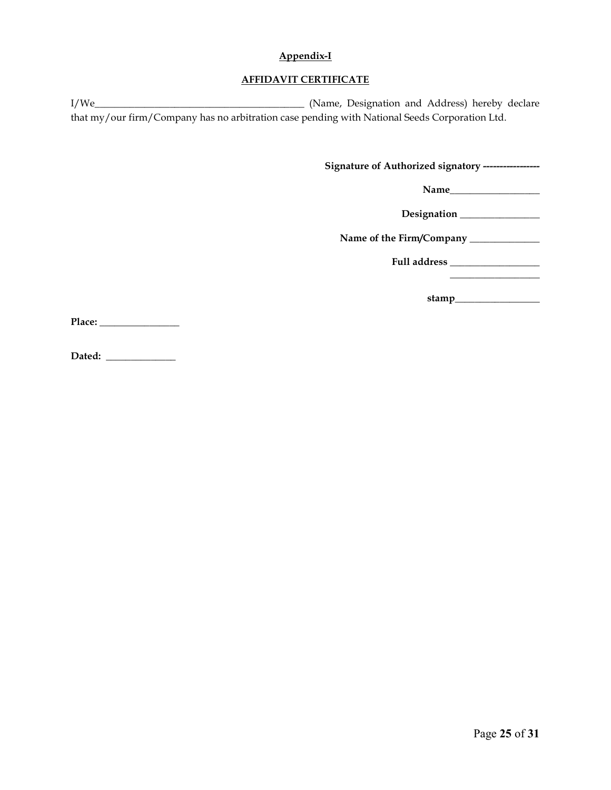#### Appendix-I

#### AFFIDAVIT CERTIFICATE

I/We\_\_\_\_\_\_\_\_\_\_\_\_\_\_\_\_\_\_\_\_\_\_\_\_\_\_\_\_\_\_\_\_\_\_\_\_\_\_\_\_\_\_ (Name, Designation and Address) hereby declare that my/our firm/Company has no arbitration case pending with National Seeds Corporation Ltd.

Signature of Authorized signatory -----------------

Name\_\_\_\_\_\_\_\_\_\_\_\_\_\_\_\_\_\_

Designation \_\_\_\_\_\_\_\_\_\_\_\_\_\_\_\_

Name of the Firm/Company \_\_\_\_\_\_\_\_\_\_\_\_\_\_

Full address \_\_\_\_\_\_\_\_\_\_\_\_\_\_\_\_\_\_

stamp\_\_\_\_\_\_\_\_\_\_\_\_\_\_\_\_\_

\_\_\_\_\_\_\_\_\_\_\_\_\_\_\_\_\_\_

Place: \_\_\_\_\_\_\_\_\_\_\_\_\_\_\_\_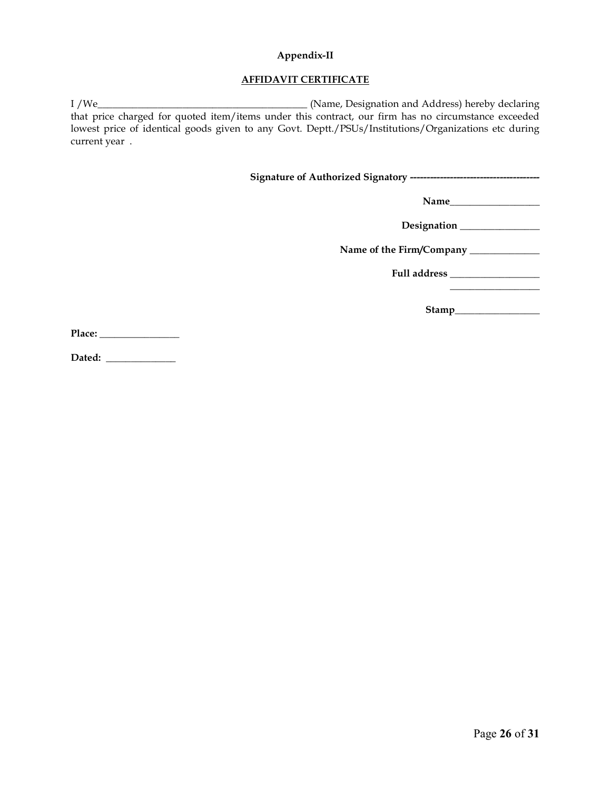#### Appendix-II

#### AFFIDAVIT CERTIFICATE

I /We\_\_\_\_\_\_\_\_\_\_\_\_\_\_\_\_\_\_\_\_\_\_\_\_\_\_\_\_\_\_\_\_\_\_\_\_\_\_\_\_\_\_ (Name, Designation and Address) hereby declaring that price charged for quoted item/items under this contract, our firm has no circumstance exceeded lowest price of identical goods given to any Govt. Deptt./PSUs/Institutions/Organizations etc during current year .

Signature of Authorized Signatory ---------------------------------------

Name\_\_\_\_\_\_\_\_\_\_\_\_\_\_\_\_\_\_

Designation \_\_\_\_\_\_\_\_\_\_\_\_\_\_\_\_

Name of the Firm/Company \_\_\_\_\_\_\_\_\_\_\_\_\_\_

Full address \_\_\_\_\_\_\_\_\_\_\_\_\_\_\_\_\_\_

Stamp\_\_\_\_\_\_\_\_\_\_\_\_\_\_\_\_\_

 $\frac{1}{2}$  ,  $\frac{1}{2}$  ,  $\frac{1}{2}$  ,  $\frac{1}{2}$  ,  $\frac{1}{2}$  ,  $\frac{1}{2}$  ,  $\frac{1}{2}$  ,  $\frac{1}{2}$  ,  $\frac{1}{2}$  ,  $\frac{1}{2}$  ,  $\frac{1}{2}$  ,  $\frac{1}{2}$  ,  $\frac{1}{2}$  ,  $\frac{1}{2}$  ,  $\frac{1}{2}$  ,  $\frac{1}{2}$  ,  $\frac{1}{2}$  ,  $\frac{1}{2}$  ,  $\frac{1$ 

Place: \_\_\_\_\_\_\_\_\_\_\_\_\_\_\_\_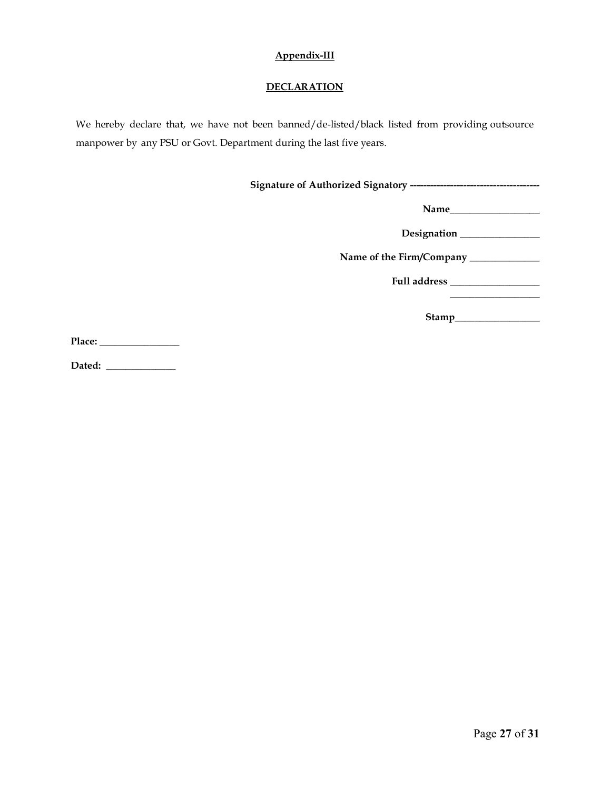#### Appendix-III

#### **DECLARATION**

We hereby declare that, we have not been banned/de-listed/black listed from providing outsource manpower by any PSU or Govt. Department during the last five years.

Signature of Authorized Signatory ---------------------------------------

Name\_\_\_\_\_\_\_\_\_\_\_\_\_\_\_\_\_\_

Designation \_\_\_\_\_\_\_\_\_\_\_\_\_\_\_\_

Name of the Firm/Company \_\_\_\_\_\_\_\_\_\_\_\_\_\_

Full address \_\_\_\_\_\_\_\_\_\_\_\_\_\_\_\_\_\_

Stamp\_\_\_\_\_\_\_\_\_\_\_\_\_\_\_\_\_

 $\_$ 

Place: \_\_\_\_\_\_\_\_\_\_\_\_\_\_\_\_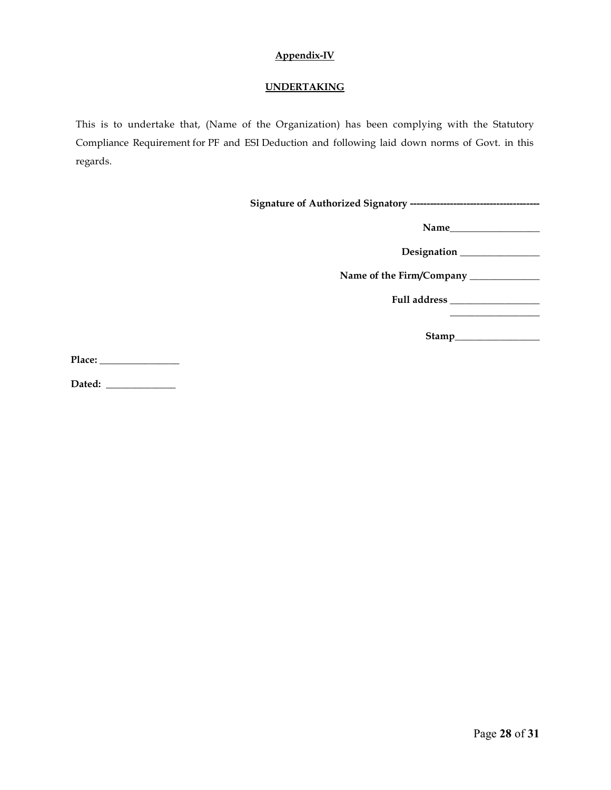# Appendix-IV

# UNDERTAKING

This is to undertake that, (Name of the Organization) has been complying with the Statutory Compliance Requirement for PF and ESI Deduction and following laid down norms of Govt. in this regards.

| Name of the Firm/Company _____________ |
|----------------------------------------|
|                                        |
| Stamp                                  |

Place: \_\_\_\_\_\_\_\_\_\_\_\_\_\_\_\_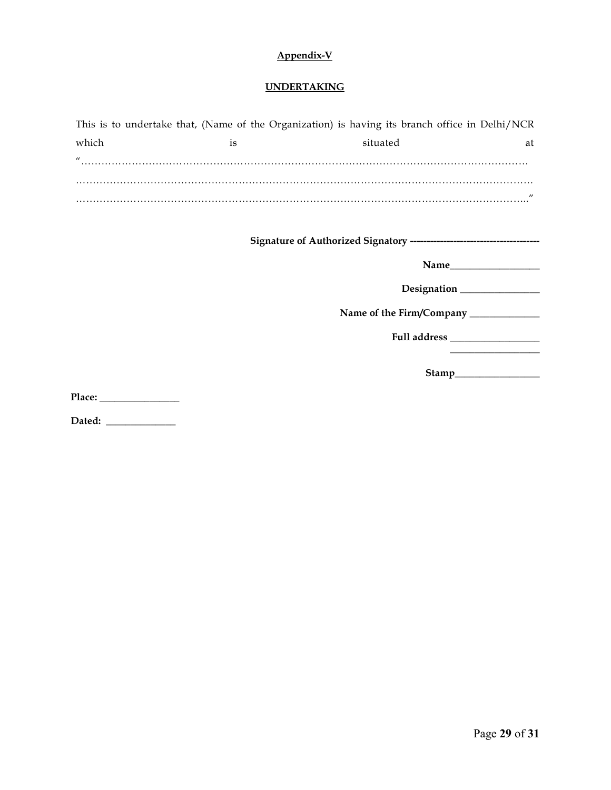# Appendix-V

#### **UNDERTAKING**

| This is to undertake that, (Name of the Organization) is having its branch office in Delhi/NCR |    |          |                   |
|------------------------------------------------------------------------------------------------|----|----------|-------------------|
| which                                                                                          | 1S | situated | at                |
| $\prime$                                                                                       |    |          |                   |
|                                                                                                |    |          |                   |
|                                                                                                |    |          |                   |
|                                                                                                |    |          | $^{\prime\prime}$ |

Signature of Authorized Signatory ---------------------------------------

Name

Designation \_\_\_\_\_\_\_\_\_\_\_\_\_\_\_\_

Name of the Firm/Company \_\_\_\_\_\_\_\_\_\_\_\_\_\_

Full address \_\_\_\_\_\_\_\_\_\_\_\_\_\_\_\_\_\_

Stamp\_\_\_\_\_\_\_\_\_\_\_\_\_\_\_\_\_

 $\frac{1}{2}$  ,  $\frac{1}{2}$  ,  $\frac{1}{2}$  ,  $\frac{1}{2}$  ,  $\frac{1}{2}$  ,  $\frac{1}{2}$  ,  $\frac{1}{2}$  ,  $\frac{1}{2}$  ,  $\frac{1}{2}$  ,  $\frac{1}{2}$  ,  $\frac{1}{2}$  ,  $\frac{1}{2}$  ,  $\frac{1}{2}$  ,  $\frac{1}{2}$  ,  $\frac{1}{2}$  ,  $\frac{1}{2}$  ,  $\frac{1}{2}$  ,  $\frac{1}{2}$  ,  $\frac{1$ 

Place: \_\_\_\_\_\_\_\_\_\_\_\_\_\_\_\_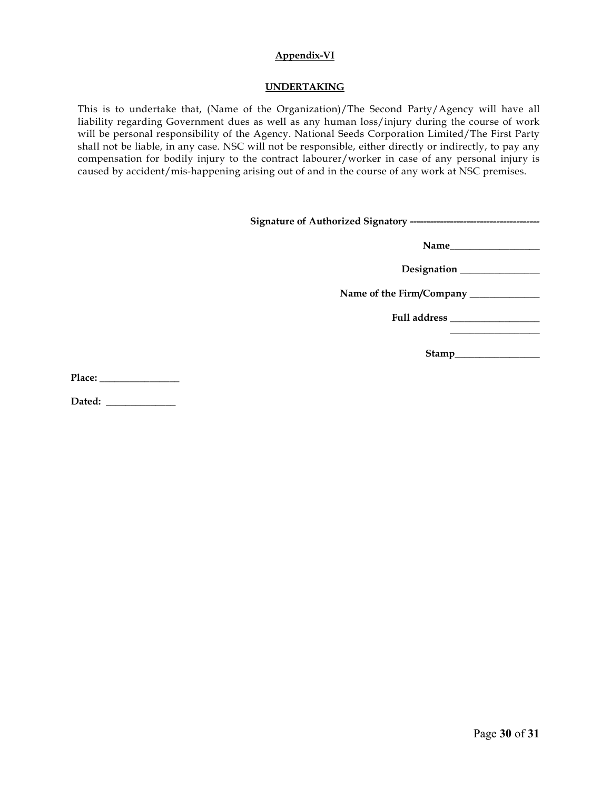#### Appendix-VI

#### UNDERTAKING

This is to undertake that, (Name of the Organization)/The Second Party/Agency will have all liability regarding Government dues as well as any human loss/injury during the course of work will be personal responsibility of the Agency. National Seeds Corporation Limited/The First Party shall not be liable, in any case. NSC will not be responsible, either directly or indirectly, to pay any compensation for bodily injury to the contract labourer/worker in case of any personal injury is caused by accident/mis-happening arising out of and in the course of any work at NSC premises.

| Name of the Firm/Company ___________ |
|--------------------------------------|
|                                      |
|                                      |
|                                      |

Place: \_\_\_\_\_\_\_\_\_\_\_\_\_\_\_\_